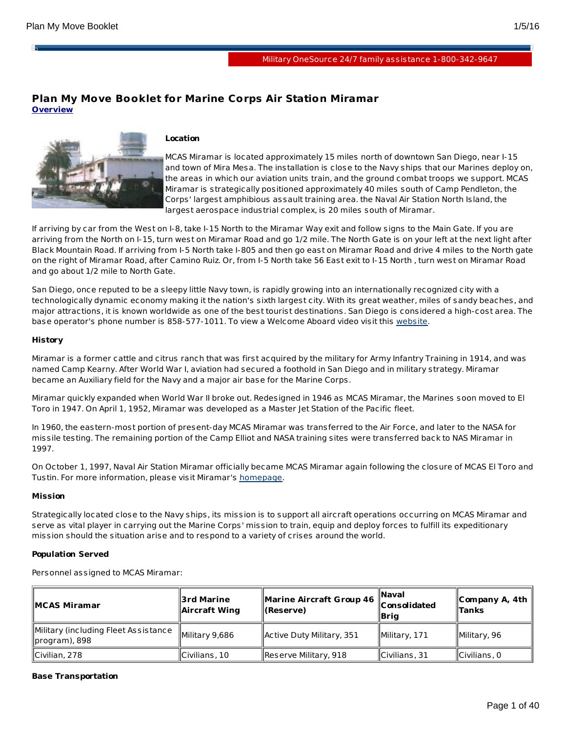в

# **Plan My Move Booklet for Marine Corps Air Station Miramar Overview**



## **Location**

MCAS Miramar is located approximately 15 miles north of downtown San Diego, near I-15 and town of Mira Mesa. The installation is close to the Navy ships that our Marines deploy on, the areas in which our aviation units train, and the ground combat troops we support. MCAS Miramar is strategically positioned approximately 40 miles south of Camp Pendleton, the Corps' largest amphibious assault training area. the Naval Air Station North Island, the largest aerospace industrial complex, is 20 miles south of Miramar.

If arriving by car from the West on I-8, take I-15 North to the Miramar Way exit and follow signs to the Main Gate. If you are arriving from the North on I-15, turn west on Miramar Road and go 1/2 mile. The North Gate is on your left at the next light after Black Mountain Road. If arriving from I-5 North take I-805 and then go east on Miramar Road and drive 4 miles to the North gate on the right of Miramar Road, after Camino Ruiz. Or, from I-5 North take 56 East exit to I-15 North , turn west on Miramar Road and go about 1/2 mile to North Gate.

San Diego, once reputed to be a sleepy little Navy town, is rapidly growing into an internationally recognized city with a technologically dynamic economy making it the nation's sixth largest city. With its great weather, miles of sandy beaches, and major attractions, it is known worldwide as one of the best tourist destinations. San Diego is considered a high-cost area. The base operator's phone number is 858-577-1011. To view a Welcome Aboard video visit this [website](http://www.usmc-mccs.org/rap/video ).

## **History**

Miramar is a former cattle and citrus ranch that was first acquired by the military for Army Infantry Training in 1914, and was named Camp Kearny. After World War I, aviation had secured a foothold in San Diego and in military strategy. Miramar became an Auxiliary field for the Navy and a major air base for the Marine Corps.

Miramar quickly expanded when World War II broke out. Redesigned in 1946 as MCAS Miramar, the Marines soon moved to El Toro in 1947. On April 1, 1952, Miramar was developed as a Master Jet Station of the Pacific fleet.

In 1960, the eastern-most portion of present-day MCAS Miramar was transferred to the Air Force, and later to the NASA for missile testing. The remaining portion of the Camp Elliot and NASA training sites were transferred back to NAS Miramar in 1997.

On October 1, 1997, Naval Air Station Miramar officially became MCAS Miramar again following the closure of MCAS El Toro and Tustin. For more information, please visit Miramar's [homepage](http://www.miramar.usmc.mil/).

## **Mission**

Strategically located close to the Navy ships, its mission is to support all aircraft operations occurring on MCAS Miramar and serve as vital player in carrying out the Marine Corps' mission to train, equip and deploy forces to fulfill its expeditionary mission should the situation arise and to respond to a variety of crises around the world.

## **Population Served**

Personnel assigned to MCAS Miramar:

| ∥MCAS Miramar                                            | ∣3rd Marine<br>Aircraft Wing! | Marine Aircraft Group 46<br>ll(Reserve) | ∥Naval<br><b>Consolidated</b><br>∥Bria | ∥Company A, 4th<br>Tanks |
|----------------------------------------------------------|-------------------------------|-----------------------------------------|----------------------------------------|--------------------------|
| Military (including Fleet Assistance)<br>  program), 898 | Military 9,686                | Active Duty Military, 351               | Military, 171                          | Military, 96             |
| Civilian, 278                                            | Civilians, 10                 | Reserve Military, 918                   | $\vert$ Civilians, 31                  | Civilians, 0             |

## **Base Transportation**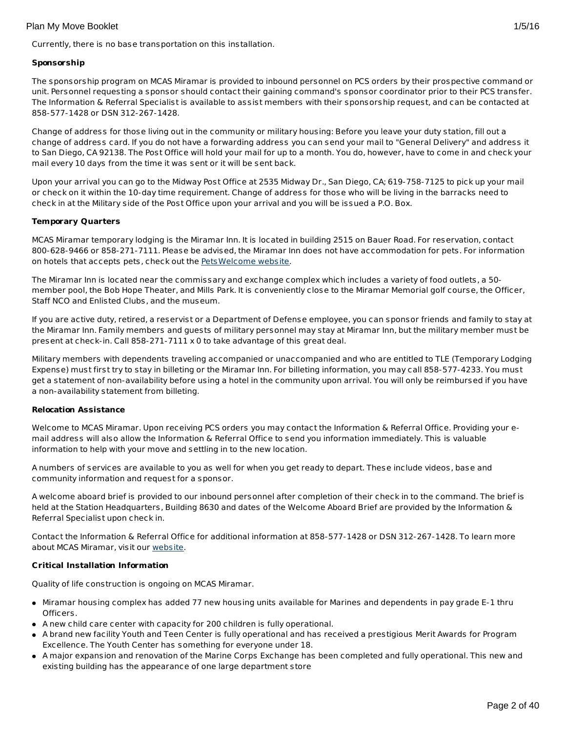Currently, there is no base transportation on this installation.

## **Sponsorship**

The sponsorship program on MCAS Miramar is provided to inbound personnel on PCS orders by their prospective command or unit. Personnel requesting a sponsor should contact their gaining command's sponsor coordinator prior to their PCS transfer. The Information & Referral Specialist is available to assist members with their sponsorship request, and can be contacted at 858-577-1428 or DSN 312-267-1428.

Change of address for those living out in the community or military housing: Before you leave your duty station, fill out a change of address card. If you do not have a forwarding address you can send your mail to "General Delivery" and address it to San Diego, CA 92138. The Post Office will hold your mail for up to a month. You do, however, have to come in and check your mail every 10 days from the time it was sent or it will be sent back.

Upon your arrival you can go to the Midway Post Office at 2535 Midway Dr., San Diego, CA; 619-758-7125 to pick up your mail or check on it within the 10-day time requirement. Change of address for those who will be living in the barracks need to check in at the Military side of the Post Office upon your arrival and you will be issued a P.O. Box.

## **Temporary Quarters**

MCAS Miramar temporary lodging is the Miramar Inn. It is located in building 2515 on Bauer Road. For reservation, contact 800-628-9466 or 858-271-7111. Please be advised, the Miramar Inn does not have accommodation for pets. For information on hotels that accepts pets, check out the [PetsWelcome](http://www.petswelcome.com/) website.

The Miramar Inn is located near the commissary and exchange complex which includes a variety of food outlets, a 50 member pool, the Bob Hope Theater, and Mills Park. It is conveniently close to the Miramar Memorial golf course, the Officer, Staff NCO and Enlisted Clubs, and the museum.

If you are active duty, retired, a reservist or a Department of Defense employee, you can sponsor friends and family to stay at the Miramar Inn. Family members and guests of military personnel may stay at Miramar Inn, but the military member must be present at check-in. Call 858-271-7111 x 0 to take advantage of this great deal.

Military members with dependents traveling accompanied or unaccompanied and who are entitled to TLE (Temporary Lodging Expense) must first try to stay in billeting or the Miramar Inn. For billeting information, you may call 858-577-4233. You must get a statement of non-availability before using a hotel in the community upon arrival. You will only be reimbursed if you have a non-availability statement from billeting.

## **Relocation Assistance**

Welcome to MCAS Miramar. Upon receiving PCS orders you may contact the Information & Referral Office. Providing your email address will also allow the Information & Referral Office to send you information immediately. This is valuable information to help with your move and settling in to the new location.

A numbers of services are available to you as well for when you get ready to depart. These include videos, base and community information and request for a sponsor.

A welcome aboard brief is provided to our inbound personnel after completion of their check in to the command. The brief is held at the Station Headquarters, Building 8630 and dates of the Welcome Aboard Brief are provided by the Information & Referral Specialist upon check in.

Contact the Information & Referral Office for additional information at 858-577-1428 or DSN 312-267-1428. To learn more about MCAS Miramar, visit our [website](http://www.mccsmiramar.com).

## **Critical Installation Information**

Quality of life construction is ongoing on MCAS Miramar.

- Miramar housing complex has added 77 new housing units available for Marines and dependents in pay grade E-1 thru Officers.
- A new child care center with capacity for 200 children is fully operational.
- A brand new facility Youth and Teen Center is fully operational and has received a prestigious Merit Awards for Program Excellence. The Youth Center has something for everyone under 18.
- A major expansion and renovation of the Marine Corps Exchange has been completed and fully operational. This new and existing building has the appearance of one large department store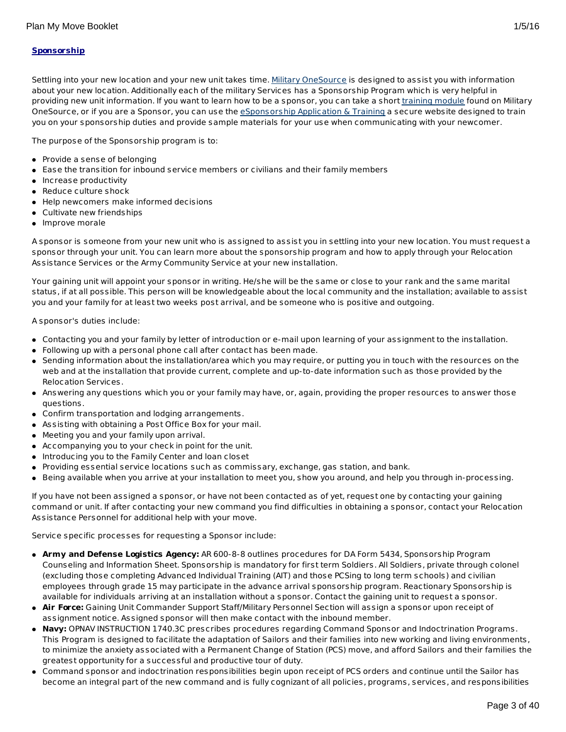## **Sponsorship**

Settling into your new location and your new unit takes time. Military [OneSource](http://www.militaryonesource.mil/) is designed to assist you with information about your new location. Additionally each of the military Services has a Sponsorship Program which is very helpful in providing new unit information. If you want to learn how to be a sponsor, you can take a short *[training](http://apps.militaryonesource.mil/MOS/f?p=ESAT:WELCOMEP) module* found on Military OneSource, or if you are a Sponsor, you can use the [eSponsorship](http://apps.militaryonesource.mil/esat) Application & Training a secure website designed to train you on your sponsorship duties and provide sample materials for your use when communicating with your newcomer.

The purpose of the Sponsorship program is to:

- Provide a sense of belonging
- Ease the transition for inbound service members or civilians and their family members
- Increase productivity
- Reduce culture shock
- Help newcomers make informed decisions
- Cultivate new friendships
- Improve morale

A sponsor is someone from your new unit who is assigned to assist you in settling into your new location. You must request a sponsor through your unit. You can learn more about the sponsorship program and how to apply through your Relocation Assistance Services or the Army Community Service at your new installation.

Your gaining unit will appoint your sponsor in writing. He/she will be the same or close to your rank and the same marital status, if at all possible. This person will be knowledgeable about the local community and the installation; available to assist you and your family for at least two weeks post arrival, and be someone who is positive and outgoing.

A sponsor's duties include:

- Contacting you and your family by letter of introduction or e-mail upon learning of your assignment to the installation.
- Following up with a personal phone call after contact has been made.
- Sending information about the installation/area which you may require, or putting you in touch with the resources on the web and at the installation that provide current, complete and up-to-date information such as those provided by the Relocation Services.
- Answering any questions which you or your family may have, or, again, providing the proper resources to answer those questions.
- Confirm transportation and lodging arrangements.
- Assisting with obtaining a Post Office Box for your mail.
- Meeting you and your family upon arrival.
- Accompanying you to your check in point for the unit.
- Introducing you to the Family Center and loan closet
- Providing essential service locations such as commissary, exchange, gas station, and bank.
- Being available when you arrive at your installation to meet you, show you around, and help you through in-processing.

If you have not been assigned a sponsor, or have not been contacted as of yet, request one by contacting your gaining command or unit. If after contacting your new command you find difficulties in obtaining a sponsor, contact your Relocation Assistance Personnel for additional help with your move.

Service specific processes for requesting a Sponsor include:

- **Army and Defense Logistics Agency:** AR 600-8-8 outlines procedures for DA Form 5434, Sponsorship Program Counseling and Information Sheet. Sponsorship is mandatory for first term Soldiers. All Soldiers, private through colonel (excluding those completing Advanced Individual Training (AIT) and those PCSing to long term schools) and civilian employees through grade 15 may participate in the advance arrival sponsorship program. Reactionary Sponsorship is available for individuals arriving at an installation without a sponsor. Contact the gaining unit to request a sponsor.
- **Air Force:** Gaining Unit Commander Support Staff/Military Personnel Section will assign a sponsor upon receipt of assignment notice. Assigned sponsor will then make contact with the inbound member.
- **Navy:** OPNAV INSTRUCTION 1740.3C prescribes procedures regarding Command Sponsor and Indoctrination Programs. This Program is designed to facilitate the adaptation of Sailors and their families into new working and living environments, to minimize the anxiety associated with a Permanent Change of Station (PCS) move, and afford Sailors and their families the greatest opportunity for a successful and productive tour of duty.
- Command sponsor and indoctrination responsibilities begin upon receipt of PCS orders and continue until the Sailor has become an integral part of the new command and is fully cognizant of all policies, programs, services, and responsibilities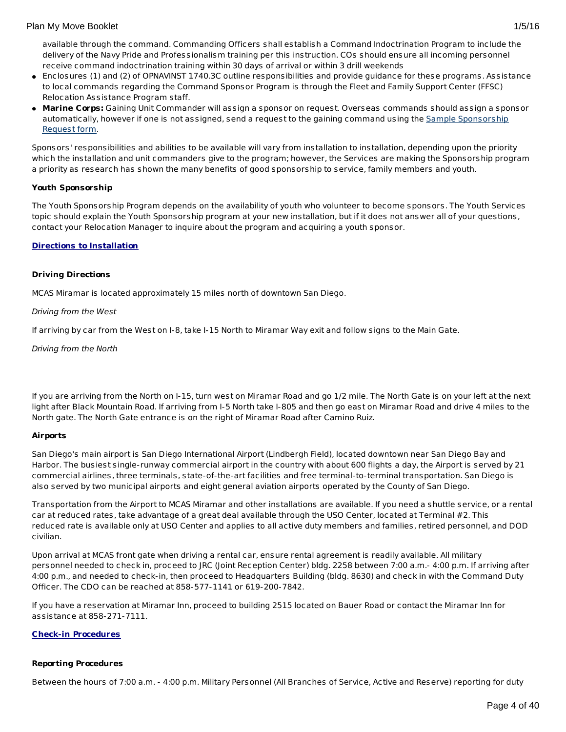- Enclosures (1) and (2) of OPNAVINST 1740.3C outline responsibilities and provide guidance for these programs. Assistance to local commands regarding the Command Sponsor Program is through the Fleet and Family Support Center (FFSC) Relocation Assistance Program staff.
- **Marine Corps:** Gaining Unit Commander will assign a sponsor on request. Overseas commands should assign a sponsor [automatically,](http://www.militaryonesource.mil/12038/MyDoD/Spons Request Form.doc) however if one is not assigned, send a request to the gaining command using the Sample Sponsorship Request form.

Sponsors' responsibilities and abilities to be available will vary from installation to installation, depending upon the priority which the installation and unit commanders give to the program; however, the Services are making the Sponsorship program a priority as research has shown the many benefits of good sponsorship to service, family members and youth.

## **Youth Sponsorship**

The Youth Sponsorship Program depends on the availability of youth who volunteer to become sponsors. The Youth Services topic should explain the Youth Sponsorship program at your new installation, but if it does not answer all of your questions, contact your Relocation Manager to inquire about the program and acquiring a youth sponsor.

## **Directions to Installation**

## **Driving Directions**

MCAS Miramar is located approximately 15 miles north of downtown San Diego.

## Driving from the West

If arriving by car from the West on I-8, take I-15 North to Miramar Way exit and follow signs to the Main Gate.

Driving from the North

If you are arriving from the North on I-15, turn west on Miramar Road and go 1/2 mile. The North Gate is on your left at the next light after Black Mountain Road. If arriving from I-5 North take I-805 and then go east on Miramar Road and drive 4 miles to the North gate. The North Gate entrance is on the right of Miramar Road after Camino Ruiz.

## **Airports**

San Diego's main airport is San Diego International Airport (Lindbergh Field), located downtown near San Diego Bay and Harbor. The busiest single-runway commercial airport in the country with about 600 flights a day, the Airport is served by 21 commercial airlines, three terminals, state-of-the-art facilities and free terminal-to-terminal transportation. San Diego is also served by two municipal airports and eight general aviation airports operated by the County of San Diego.

Transportation from the Airport to MCAS Miramar and other installations are available. If you need a shuttle service, or a rental car at reduced rates, take advantage of a great deal available through the USO Center, located at Terminal #2. This reduced rate is available only at USO Center and applies to all active duty members and families, retired personnel, and DOD civilian.

Upon arrival at MCAS front gate when driving a rental car, ensure rental agreement is readily available. All military personnel needed to check in, proceed to JRC (Joint Reception Center) bldg. 2258 between 7:00 a.m.- 4:00 p.m. If arriving after 4:00 p.m., and needed to check-in, then proceed to Headquarters Building (bldg. 8630) and check in with the Command Duty Officer. The CDO can be reached at 858-577-1141 or 619-200-7842.

If you have a reservation at Miramar Inn, proceed to building 2515 located on Bauer Road or contact the Miramar Inn for assistance at 858-271-7111.

## **Check-in Procedures**

## **Reporting Procedures**

Between the hours of 7:00 a.m. - 4:00 p.m. Military Personnel (All Branches of Service, Active and Reserve) reporting for duty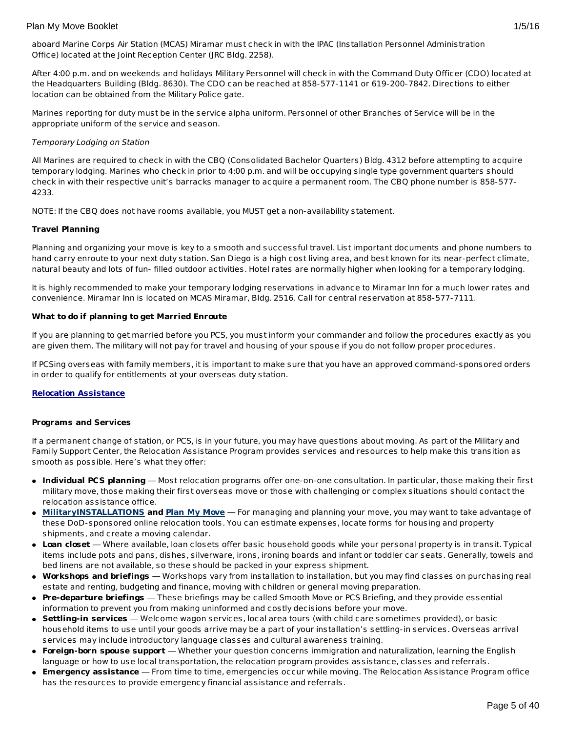aboard Marine Corps Air Station (MCAS) Miramar must check in with the IPAC (Installation Personnel Administration Office) located at the Joint Reception Center (JRC Bldg. 2258).

After 4:00 p.m. and on weekends and holidays Military Personnel will check in with the Command Duty Officer (CDO) located at the Headquarters Building (Bldg. 8630). The CDO can be reached at 858-577-1141 or 619-200-7842. Directions to either location can be obtained from the Military Police gate.

Marines reporting for duty must be in the service alpha uniform. Personnel of other Branches of Service will be in the appropriate uniform of the service and season.

## Temporary Lodging on Station

All Marines are required to check in with the CBQ (Consolidated Bachelor Quarters) Bldg. 4312 before attempting to acquire temporary lodging. Marines who check in prior to 4:00 p.m. and will be occupying single type government quarters should check in with their respective unit's barracks manager to acquire a permanent room. The CBQ phone number is 858-577- 4233.

NOTE: If the CBQ does not have rooms available, you MUST get a non-availability statement.

## **Travel Planning**

Planning and organizing your move is key to a smooth and successful travel. List important documents and phone numbers to hand carry enroute to your next duty station. San Diego is a high cost living area, and best known for its near-perfect climate, natural beauty and lots of fun- filled outdoor activities. Hotel rates are normally higher when looking for a temporary lodging.

It is highly recommended to make your temporary lodging reservations in advance to Miramar Inn for a much lower rates and convenience. Miramar Inn is located on MCAS Miramar, Bldg. 2516. Call for central reservation at 858-577-7111.

## **What to do if planning to get Married Enroute**

If you are planning to get married before you PCS, you must inform your commander and follow the procedures exactly as you are given them. The military will not pay for travel and housing of your spouse if you do not follow proper procedures.

If PCSing overseas with family members, it is important to make sure that you have an approved command-sponsored orders in order to qualify for entitlements at your overseas duty station.

## **Relocation Assistance**

## **Programs and Services**

If a permanent change of station, or PCS, is in your future, you may have questions about moving. As part of the Military and Family Support Center, the Relocation Assistance Program provides services and resources to help make this transition as smooth as possible. Here's what they offer:

- **Individual PCS planning** Most relocation programs offer one-on-one consultation. In particular, those making their first military move, those making their first overseas move or those with challenging or complex situations should contact the relocation assistance office.
- **[MilitaryINSTALLATIONS](http://www.militaryinstallations.dod.mil) and Plan My [Move](http://apps.militaryonesource.mil/MOS/f?p=PMM:ENTRY:0)** For managing and planning your move, you may want to take advantage of these DoD-sponsored online relocation tools. You can estimate expenses, locate forms for housing and property shipments, and create a moving calendar.
- **Loan closet** Where available, loan closets offer basic household goods while your personal property is in transit. Typical items include pots and pans, dishes, silverware, irons, ironing boards and infant or toddler car seats. Generally, towels and bed linens are not available, so these should be packed in your express shipment.
- **Workshops and briefings** Workshops vary from installation to installation, but you may find classes on purchasing real estate and renting, budgeting and finance, moving with children or general moving preparation.
- **Pre-departure briefings** These briefings may be called Smooth Move or PCS Briefing, and they provide essential information to prevent you from making uninformed and costly decisions before your move.
- **Settling-in services** Welcome wagon services, local area tours (with child care sometimes provided), or basic household items to use until your goods arrive may be a part of your installation's settling-in services. Overseas arrival services may include introductory language classes and cultural awareness training.
- **Foreign-born spouse support** Whether your question concerns immigration and naturalization, learning the English language or how to use local transportation, the relocation program provides assistance, classes and referrals.
- **Emergency assistance** From time to time, emergencies occur while moving. The Relocation Assistance Program office has the resources to provide emergency financial assistance and referrals.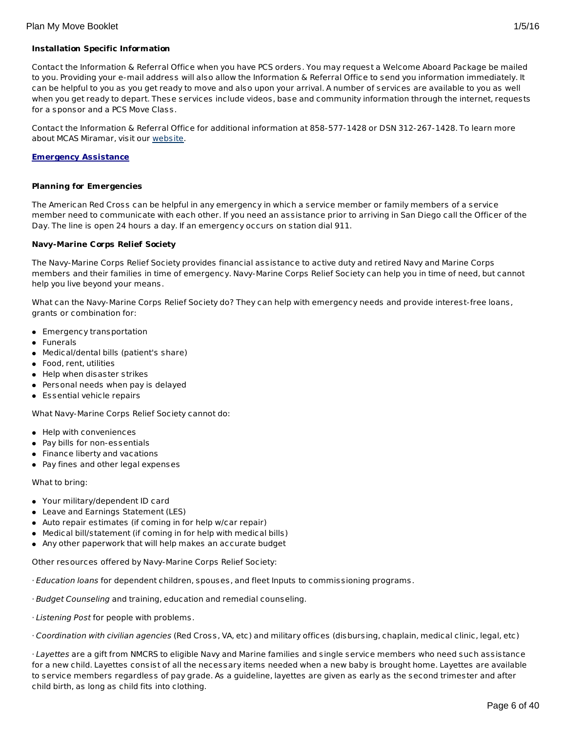## **Installation Specific Information**

Contact the Information & Referral Office when you have PCS orders. You may request a Welcome Aboard Package be mailed to you. Providing your e-mail address will also allow the Information & Referral Office to send you information immediately. It can be helpful to you as you get ready to move and also upon your arrival. A number of services are available to you as well when you get ready to depart. These services include videos, base and community information through the internet, requests for a sponsor and a PCS Move Class.

Contact the Information & Referral Office for additional information at 858-577-1428 or DSN 312-267-1428. To learn more about MCAS Miramar, visit our [website](http://www.mccsmiramar.com/).

#### **Emergency Assistance**

#### **Planning for Emergencies**

The American Red Cross can be helpful in any emergency in which a service member or family members of a service member need to communicate with each other. If you need an assistance prior to arriving in San Diego call the Officer of the Day. The line is open 24 hours a day. If an emergency occurs on station dial 911.

## **Navy-Marine Corps Relief Society**

The Navy-Marine Corps Relief Society provides financial assistance to active duty and retired Navy and Marine Corps members and their families in time of emergency. Navy-Marine Corps Relief Society can help you in time of need, but cannot help you live beyond your means.

What can the Navy-Marine Corps Relief Society do? They can help with emergency needs and provide interest-free loans, grants or combination for:

- **Emergency transportation**
- Funerals
- Medical/dental bills (patient's share)
- Food, rent, utilities
- Help when disaster strikes
- Personal needs when pay is delayed
- Essential vehicle repairs

What Navy-Marine Corps Relief Society cannot do:

- Help with conveniences
- Pay bills for non-essentials
- **•** Finance liberty and vacations
- Pay fines and other legal expenses

#### What to bring:

- Your military/dependent ID card
- Leave and Earnings Statement (LES)
- Auto repair estimates (if coming in for help w/car repair)
- Medical bill/statement (if coming in for help with medical bills)
- Any other paperwork that will help makes an accurate budget

Other resources offered by Navy-Marine Corps Relief Society:

- $\cdot$  Education loans for dependent children, spouses, and fleet Inputs to commissioning programs.
- · Budget Counseling and training, education and remedial counseling.
- · Listening Post for people with problems.
- · Coordination with civilian agencies (Red Cross, VA, etc) and military offices (disbursing, chaplain, medical clinic, legal, etc)

· Layettes are a gift from NMCRS to eligible Navy and Marine families and single service members who need such assistance for a new child. Layettes consist of all the necessary items needed when a new baby is brought home. Layettes are available to service members regardless of pay grade. As a guideline, layettes are given as early as the second trimester and after child birth, as long as child fits into clothing.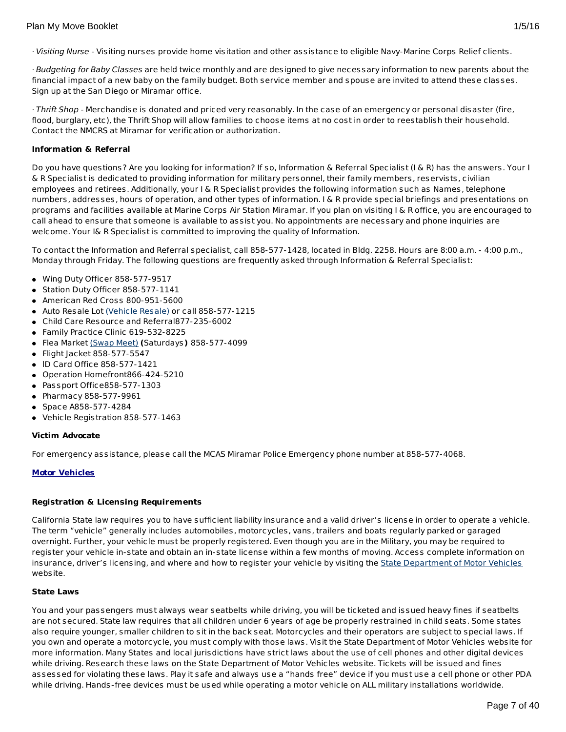· Visiting Nurse - Visiting nurses provide home visitation and other assistance to eligible Navy-Marine Corps Relief clients.

· Budgeting for Baby Classes are held twice monthly and are designed to give necessary information to new parents about the financial impact of a new baby on the family budget. Both service member and spouse are invited to attend these classes. Sign up at the San Diego or Miramar office.

 $\cdot$ Thrift Shop - Merchandise is donated and priced very reasonably. In the case of an emergency or personal disaster (fire, flood, burglary, etc), the Thrift Shop will allow families to choose items at no cost in order to reestablish their household. Contact the NMCRS at Miramar for verification or authorization.

## **Information & Referral**

Do you have questions? Are you looking for information? If so, Information & Referral Specialist (I & R) has the answers. Your I & R Specialist is dedicated to providing information for military personnel, their family members, reservists, civilian employees and retirees. Additionally, your I & R Specialist provides the following information such as Names, telephone numbers, addresses, hours of operation, and other types of information. I & R provide special briefings and presentations on programs and facilities available at Marine Corps Air Station Miramar. If you plan on visiting I & R office, you are encouraged to call ahead to ensure that someone is available to assist you. No appointments are necessary and phone inquiries are welcome. Your I& R Specialist is committed to improving the quality of Information.

To contact the Information and Referral specialist, call 858-577-1428, located in Bldg. 2258. Hours are 8:00 a.m. - 4:00 p.m., Monday through Friday. The following questions are frequently asked through Information & Referral Specialist:

- Wing Duty Officer 858-577-9517
- Station Duty Officer 858-577-1141
- American Red Cross 800-951-5600
- Auto Resale Lot [\(Vehicle](http://www.mccsmiramar.com/vehicle_resale_lot.html) Resale) or call 858-577-1215
- Child Care Resource and Referral877-235-6002
- Family Practice Clinic 619-532-8225
- Flea Market [\(Swap](http://www.mccsmiramar.com/baseswapmeet.html) Meet) **(**Saturdays**)** 858-577-4099
- Flight Jacket 858-577-5547
- lD Card Office 858-577-1421
- Operation Homefront866-424-5210
- Passport Office858-577-1303
- Pharmacy 858-577-9961
- Space A858-577-4284
- Vehicle Registration 858-577-1463

## **Victim Advocate**

For emergency assistance, please call the MCAS Miramar Police Emergency phone number at 858-577-4068.

## **Motor Vehicles**

## **Registration & Licensing Requirements**

California State law requires you to have sufficient liability insurance and a valid driver's license in order to operate a vehicle. The term "vehicle" generally includes automobiles, motorcycles, vans, trailers and boats regularly parked or garaged overnight. Further, your vehicle must be properly registered. Even though you are in the Military, you may be required to register your vehicle in-state and obtain an in-state license within a few months of moving. Access complete information on insurance, driver's licensing, and where and how to register your vehicle by visiting the State [Department](http://www.dmv.ca.gov/) of Motor Vehicles website.

## **State Laws**

You and your passengers must always wear seatbelts while driving, you will be ticketed and issued heavy fines if seatbelts are not secured. State law requires that all children under 6 years of age be properly restrained in child seats. Some states also require younger, smaller children to sit in the back seat. Motorcycles and their operators are subject to special laws. If you own and operate a motorcycle, you must comply with those laws. Visit the State Department of Motor Vehicles website for more information. Many States and local jurisdictions have strict laws about the use of cell phones and other digital devices while driving. Research these laws on the State Department of Motor Vehicles website. Tickets will be issued and fines assessed for violating these laws. Play it safe and always use a "hands free" device if you must use a cell phone or other PDA while driving. Hands-free devices must be used while operating a motor vehicle on ALL military installations worldwide.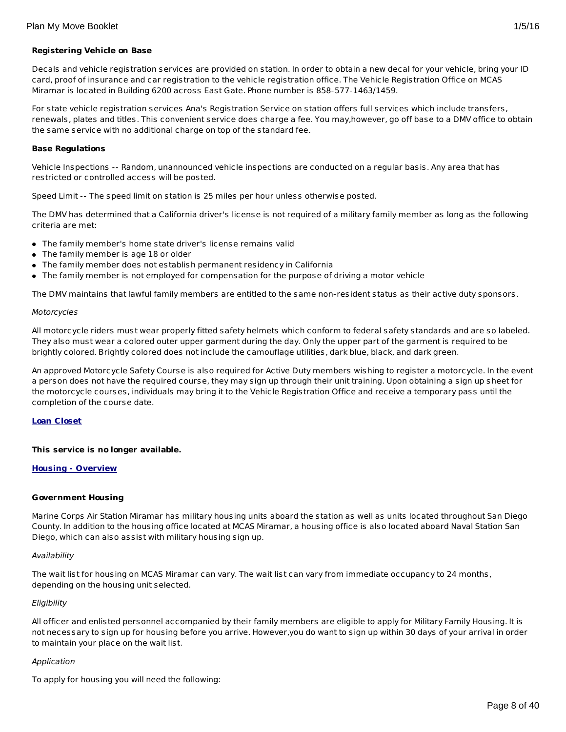## **Registering Vehicle on Base**

Decals and vehicle registration services are provided on station. In order to obtain a new decal for your vehicle, bring your ID card, proof of insurance and car registration to the vehicle registration office. The Vehicle Registration Office on MCAS Miramar is located in Building 6200 across East Gate. Phone number is 858-577-1463/1459.

For state vehicle registration services Ana's Registration Service on station offers full services which include transfers, renewals, plates and titles. This convenient service does charge a fee. You may,however, go off base to a DMV office to obtain the same service with no additional charge on top of the standard fee.

#### **Base Regulations**

Vehicle Inspections -- Random, unannounced vehicle inspections are conducted on a regular basis. Any area that has restricted or controlled access will be posted.

Speed Limit -- The speed limit on station is 25 miles per hour unless otherwise posted.

The DMV has determined that a California driver's license is not required of a military family member as long as the following criteria are met:

- The family member's home state driver's license remains valid
- The family member is age 18 or older
- The family member does not establish permanent residency in California
- The family member is not employed for compensation for the purpose of driving a motor vehicle

The DMV maintains that lawful family members are entitled to the same non-resident status as their active duty sponsors.

#### Motorcycles

All motorcycle riders must wear properly fitted safety helmets which conform to federal safety standards and are so labeled. They also must wear a colored outer upper garment during the day. Only the upper part of the garment is required to be brightly colored. Brightly colored does not include the camouflage utilities, dark blue, black, and dark green.

An approved Motorcycle Safety Course is also required for Active Duty members wishing to register a motorcycle. In the event a person does not have the required course, they may sign up through their unit training. Upon obtaining a sign up sheet for the motorcycle courses, individuals may bring it to the Vehicle Registration Office and receive a temporary pass until the completion of the course date.

## **Loan Closet**

## **This service is no longer available.**

#### **Housing - Overview**

#### **Government Housing**

Marine Corps Air Station Miramar has military housing units aboard the station as well as units located throughout San Diego County. In addition to the housing office located at MCAS Miramar, a housing office is also located aboard Naval Station San Diego, which can also assist with military housing sign up.

#### Availability

The wait list for housing on MCAS Miramar can vary. The wait list can vary from immediate occupancy to 24 months, depending on the housing unit selected.

#### Eligibility

All officer and enlisted personnel accompanied by their family members are eligible to apply for Military Family Housing. It is not necessary to sign up for housing before you arrive. However,you do want to sign up within 30 days of your arrival in order to maintain your place on the wait list.

## Application

To apply for housing you will need the following: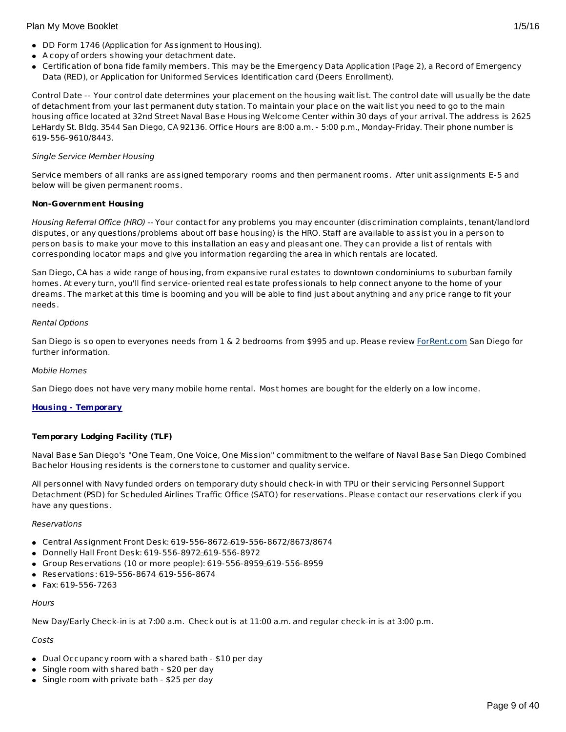- DD Form 1746 (Application for Assignment to Housing).
- A copy of orders showing your detachment date.
- Certification of bona fide family members. This may be the Emergency Data Application (Page 2), a Record of Emergency Data (RED), or Application for Uniformed Services Identification card (Deers Enrollment).

Control Date -- Your control date determines your placement on the housing wait list. The control date will usually be the date of detachment from your last permanent duty station. To maintain your place on the wait list you need to go to the main housing office located at 32nd Street Naval Base Housing Welcome Center within 30 days of your arrival. The address is 2625 LeHardy St. Bldg. 3544 San Diego, CA 92136. Office Hours are 8:00 a.m. - 5:00 p.m., Monday-Friday. Their phone number is 619-556-9610/8443.

## Single Service Member Housing

Service members of all ranks are assigned temporary rooms and then permanent rooms. After unit assignments E-5 and below will be given permanent rooms.

## **Non-Government Housing**

Housing Referral Office (HRO) -- Your contact for any problems you may encounter (discrimination complaints, tenant/landlord disputes, or any questions/problems about off base housing) is the HRO. Staff are available to assist you in a person to person basis to make your move to this installation an easy and pleasant one. They can provide a list of rentals with corresponding locator maps and give you information regarding the area in which rentals are located.

San Diego, CA has a wide range of housing, from expansive rural estates to downtown condominiums to suburban family homes. At every turn, you'll find service-oriented real estate professionals to help connect anyone to the home of your dreams. The market at this time is booming and you will be able to find just about anything and any price range to fit your needs.

## Rental Options

San Diego is so open to everyones needs from 1 & 2 bedrooms from \$995 and up. Please review [ForRent.com](http://www.forrent.com/) San Diego for further information.

#### Mobile Homes

San Diego does not have very many mobile home rental. Most homes are bought for the elderly on a low income.

## **Housing - Temporary**

## **Temporary Lodging Facility (TLF)**

Naval Base San Diego's "One Team, One Voice, One Mission" commitment to the welfare of Naval Base San Diego Combined Bachelor Housing residents is the cornerstone to customer and quality service.

All personnel with Navy funded orders on temporary duty should check-in with TPU or their servicing Personnel Support Detachment (PSD) for Scheduled Airlines Traffic Office (SATO) for reservations. Please contact our reservations clerk if you have any questions.

#### Reservations

- $\bullet$  Central Assignment Front Desk: 619-556-8672 $-619-556-8672/8673/8674$
- Donnelly Hall Front Desk: 619-556-8972 619-556-8972
- $\bullet$  Group Reservations (10 or more people): 619-556-8959 $\pm$ 619-556-8959
- Reservations: 619-556-8674 619-556-8674
- Fax: 619-556-7263

#### **Hours**

New Day/Early Check-in is at 7:00 a.m. Check out is at 11:00 a.m. and regular check-in is at 3:00 p.m.

## Costs

- Dual Occupancy room with a shared bath \$10 per day
- Single room with shared bath \$20 per day
- Single room with private bath \$25 per day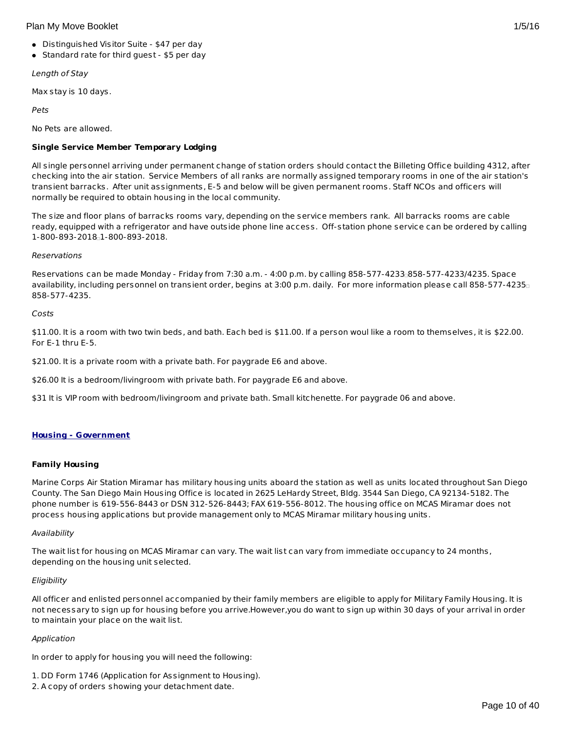- Distinguished Visitor Suite \$47 per day
- Standard rate for third guest \$5 per day

Length of Stay

Max stay is 10 days.

Pets

No Pets are allowed.

# **Single Service Member Temporary Lodging**

All single personnel arriving under permanent change of station orders should contact the Billeting Office building 4312, after checking into the air station. Service Members of all ranks are normally assigned temporary rooms in one of the air station's transient barracks. After unit assignments, E-5 and below will be given permanent rooms. Staff NCOs and officers will normally be required to obtain housing in the local community.

The size and floor plans of barracks rooms vary, depending on the service members rank. All barracks rooms are cable ready, equipped with a refrigerator and have outside phone line access. Off-station phone service can be ordered by calling 1-800-893-2018 1-800-893-2018.

## **Reservations**

Reservations can be made Monday - Friday from 7:30 a.m. - 4:00 p.m. by calling 858-577-4233 858-577-4233/4235. Space availability, including personnel on transient order, begins at 3:00 p.m. daily. For more information please call 858-577-4235 858-577-4235.

Costs

\$11.00. It is a room with two twin beds, and bath. Each bed is \$11.00. If a person woul like a room to themselves, it is \$22.00. For E-1 thru E-5.

\$21.00. It is a private room with a private bath. For paygrade E6 and above.

\$26.00 It is a bedroom/livingroom with private bath. For paygrade E6 and above.

\$31 It is VIP room with bedroom/livingroom and private bath. Small kitchenette. For paygrade 06 and above.

## **Housing - Government**

## **Family Housing**

Marine Corps Air Station Miramar has military housing units aboard the station as well as units located throughout San Diego County. The San Diego Main Housing Office is located in 2625 LeHardy Street, Bldg. 3544 San Diego, CA 92134-5182. The phone number is 619-556-8443 or DSN 312-526-8443; FAX 619-556-8012. The housing office on MCAS Miramar does not process housing applications but provide management only to MCAS Miramar military housing units.

## Availability

The wait list for housing on MCAS Miramar can vary. The wait list can vary from immediate occupancy to 24 months, depending on the housing unit selected.

## **Eligibility**

All officer and enlisted personnel accompanied by their family members are eligible to apply for Military Family Housing. It is not necessary to sign up for housing before you arrive.However,you do want to sign up within 30 days of your arrival in order to maintain your place on the wait list.

## Application

In order to apply for housing you will need the following:

- 1. DD Form 1746 (Application for Assignment to Housing).
- 2. A copy of orders showing your detachment date.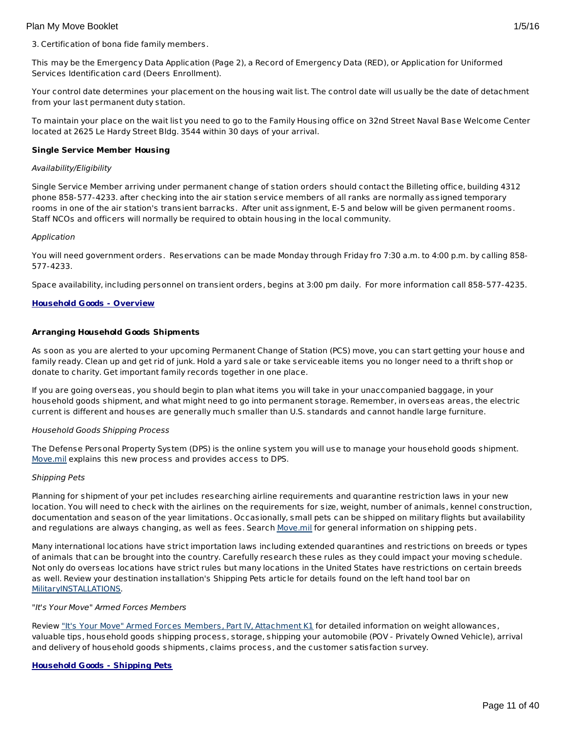3. Certification of bona fide family members.

This may be the Emergency Data Application (Page 2), a Record of Emergency Data (RED), or Application for Uniformed Services Identification card (Deers Enrollment).

Your control date determines your placement on the housing wait list. The control date will usually be the date of detachment from your last permanent duty station.

To maintain your place on the wait list you need to go to the Family Housing office on 32nd Street Naval Base Welcome Center located at 2625 Le Hardy Street Bldg. 3544 within 30 days of your arrival.

## **Single Service Member Housing**

## Availability/Eligibility

Single Service Member arriving under permanent change of station orders should contact the Billeting office, building 4312 phone 858-577-4233. after checking into the air station service members of all ranks are normally assigned temporary rooms in one of the air station's transient barracks. After unit assignment, E-5 and below will be given permanent rooms. Staff NCOs and officers will normally be required to obtain housing in the local community.

## Application

You will need government orders. Reservations can be made Monday through Friday fro 7:30 a.m. to 4:00 p.m. by calling 858- 577-4233.

Space availability, including personnel on transient orders, begins at 3:00 pm daily. For more information call 858-577-4235.

## **Household Goods - Overview**

## **Arranging Household Goods Shipments**

As soon as you are alerted to your upcoming Permanent Change of Station (PCS) move, you can start getting your house and family ready. Clean up and get rid of junk. Hold a yard sale or take serviceable items you no longer need to a thrift shop or donate to charity. Get important family records together in one place.

If you are going overseas, you should begin to plan what items you will take in your unaccompanied baggage, in your household goods shipment, and what might need to go into permanent storage. Remember, in overseas areas, the electric current is different and houses are generally much smaller than U.S. standards and cannot handle large furniture.

## Household Goods Shipping Process

The Defense Personal Property System (DPS) is the online system you will use to manage your household goods shipment. [Move.mil](http://www.move.mil/) explains this new process and provides access to DPS.

## Shipping Pets

Planning for shipment of your pet includes researching airline requirements and quarantine restriction laws in your new location. You will need to check with the airlines on the requirements for size, weight, number of animals, kennel construction, documentation and season of the year limitations. Occasionally, small pets can be shipped on military flights but availability and regulations are always changing, as well as fees. Search [Move.mil](http://www.move.mil/dod/travel_information/pets.cfm ) for general information on shipping pets.

Many international locations have strict importation laws including extended quarantines and restrictions on breeds or types of animals that can be brought into the country. Carefully research these rules as they could impact your moving schedule. Not only do overseas locations have strict rules but many locations in the United States have restrictions on certain breeds as well. Review your destination installation's Shipping Pets article for details found on the left hand tool bar on [MilitaryINSTALLATIONS](http://www.militaryinstallations.dod.mil/).

## "It's Your Move" Armed Forces Members

Review "It's Your Move" Armed Forces Members, Part IV, [Attachment](http://www.transcom.mil/dtr/part-iv/dtr_part_iv_app_k_1.pdf) K1 for detailed information on weight allowances, valuable tips, household goods shipping process, storage, shipping your automobile (POV - Privately Owned Vehicle), arrival and delivery of household goods shipments, claims process, and the customer satisfaction survey.

## **Household Goods - Shipping Pets**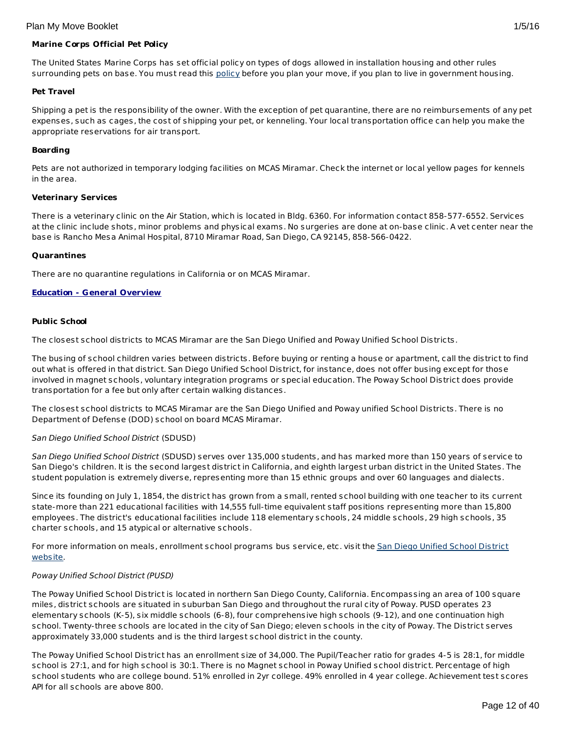## **Marine Corps Official Pet Policy**

The United States Marine Corps has set official policy on types of dogs allowed in installation housing and other rules surrounding pets on base. You must read this [policy](http://www.militaryonesource.mil/12038/Plan My Move/USMC pet policy 8 09.pdf) before you plan your move, if you plan to live in government housing.

#### **Pet Travel**

Shipping a pet is the responsibility of the owner. With the exception of pet quarantine, there are no reimbursements of any pet expenses, such as cages, the cost of shipping your pet, or kenneling. Your local transportation office can help you make the appropriate reservations for air transport.

#### **Boarding**

Pets are not authorized in temporary lodging facilities on MCAS Miramar. Check the internet or local yellow pages for kennels in the area.

#### **Veterinary Services**

There is a veterinary clinic on the Air Station, which is located in Bldg. 6360. For information contact 858-577-6552. Services at the clinic include shots, minor problems and physical exams. No surgeries are done at on-base clinic. A vet center near the base is Rancho Mesa Animal Hospital, 8710 Miramar Road, San Diego, CA 92145, 858-566-0422.

#### **Quarantines**

There are no quarantine regulations in California or on MCAS Miramar.

## **Education - General Overview**

#### **Public School**

The closest school districts to MCAS Miramar are the San Diego Unified and Poway Unified School Districts.

The busing of school children varies between districts. Before buying or renting a house or apartment, call the district to find out what is offered in that district. San Diego Unified School District, for instance, does not offer busing except for those involved in magnet schools, voluntary integration programs or special education. The Poway School District does provide transportation for a fee but only after certain walking distances.

The closest school districts to MCAS Miramar are the San Diego Unified and Poway unified School Districts. There is no Department of Defense (DOD) school on board MCAS Miramar.

## San Diego Unified School District (SDUSD)

San Diego Unified School District (SDUSD) serves over 135,000 students, and has marked more than 150 years of service to San Diego's children. It is the second largest district in California, and eighth largest urban district in the United States. The student population is extremely diverse, representing more than 15 ethnic groups and over 60 languages and dialects.

Since its founding on July 1, 1854, the district has grown from a small, rented school building with one teacher to its current state-more than 221 educational facilities with 14,555 full-time equivalent staff positions representing more than 15,800 employees. The district's educational facilities include 118 elementary schools, 24 middle schools, 29 high schools, 35 charter schools, and 15 atypical or alternative schools.

For more [information](http://www.sandi.net/) on meals, enrollment school programs bus service, etc. visit the San Diego Unified School District website.

## Poway Unified School District (PUSD)

The Poway Unified School District is located in northern San Diego County, California. Encompassing an area of 100 square miles, district schools are situated in suburban San Diego and throughout the rural city of Poway. PUSD operates 23 elementary schools (K-5), six middle schools (6-8), four comprehensive high schools (9-12), and one continuation high school. Twenty-three schools are located in the city of San Diego; eleven schools in the city of Poway. The District serves approximately 33,000 students and is the third largest school district in the county.

The Poway Unified School District has an enrollment size of 34,000. The Pupil/Teacher ratio for grades 4-5 is 28:1, for middle school is 27:1, and for high school is 30:1. There is no Magnet school in Poway Unified school district. Percentage of high school students who are college bound. 51% enrolled in 2yr college. 49% enrolled in 4 year college. Achievement test scores API for all schools are above 800.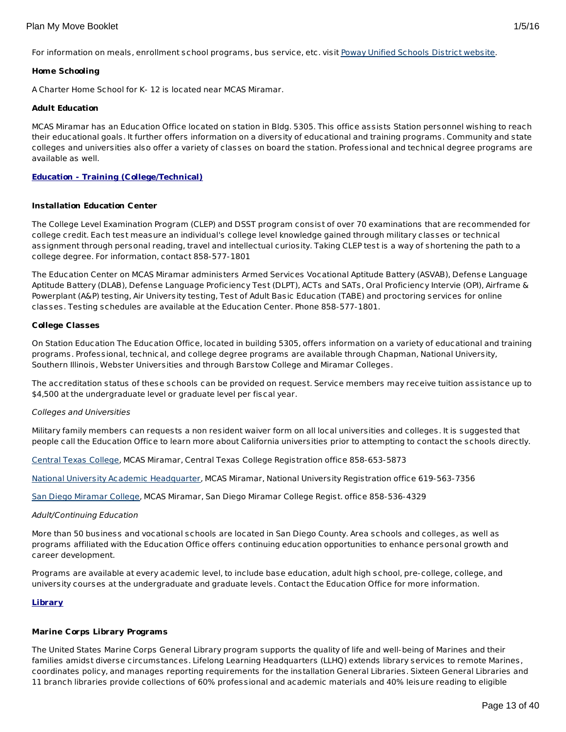For information on meals, enrollment school programs, bus service, etc. visit Poway Unified [Schools](http://www.powayusd.com/) District website.

## **Home Schooling**

A Charter Home School for K- 12 is located near MCAS Miramar.

## **Adult Education**

MCAS Miramar has an Education Office located on station in Bldg. 5305. This office assists Station personnel wishing to reach their educational goals. It further offers information on a diversity of educational and training programs. Community and state colleges and universities also offer a variety of classes on board the station. Professional and technical degree programs are available as well.

## **Education - Training (College/Technical)**

## **Installation Education Center**

The College Level Examination Program (CLEP) and DSST program consist of over 70 examinations that are recommended for college credit. Each test measure an individual's college level knowledge gained through military classes or technical assignment through personal reading, travel and intellectual curiosity. Taking CLEP test is a way of shortening the path to a college degree. For information, contact 858-577-1801

The Education Center on MCAS Miramar administers Armed Services Vocational Aptitude Battery (ASVAB), Defense Language Aptitude Battery (DLAB), Defense Language Proficiency Test (DLPT), ACTs and SATs, Oral Proficiency Intervie (OPI), Airframe & Powerplant (A&P) testing, Air University testing, Test of Adult Basic Education (TABE) and proctoring services for online classes. Testing schedules are available at the Education Center. Phone 858-577-1801.

## **College Classes**

On Station Education The Education Office, located in building 5305, offers information on a variety of educational and training programs. Professional, technical, and college degree programs are available through Chapman, National University, Southern Illinois, Webster Universities and through Barstow College and Miramar Colleges.

The accreditation status of these schools can be provided on request. Service members may receive tuition assistance up to \$4,500 at the undergraduate level or graduate level per fiscal year.

## Colleges and Universities

Military family members can requests a non resident waiver form on all local universities and colleges. It is suggested that people call the Education Office to learn more about California universities prior to attempting to contact the schools directly.

[Central](http://www.ctcd.edu) Texas College, MCAS Miramar, Central Texas College Registration office 858-653-5873

National University Academic [Headquarter](http://www.nu.edu/), MCAS Miramar, National University Registration office 619-563-7356

San Diego [Miramar](http://www.sdmiramar.edu/) College, MCAS Miramar, San Diego Miramar College Regist. office 858-536-4329

## Adult/Continuing Education

More than 50 business and vocational schools are located in San Diego County. Area schools and colleges, as well as programs affiliated with the Education Office offers continuing education opportunities to enhance personal growth and career development.

Programs are available at every academic level, to include base education, adult high school, pre-college, college, and university courses at the undergraduate and graduate levels. Contact the Education Office for more information.

## **Library**

## **Marine Corps Library Programs**

The United States Marine Corps General Library program supports the quality of life and well-being of Marines and their families amidst diverse circumstances. Lifelong Learning Headquarters (LLHQ) extends library services to remote Marines, coordinates policy, and manages reporting requirements for the installation General Libraries. Sixteen General Libraries and 11 branch libraries provide collections of 60% professional and academic materials and 40% leisure reading to eligible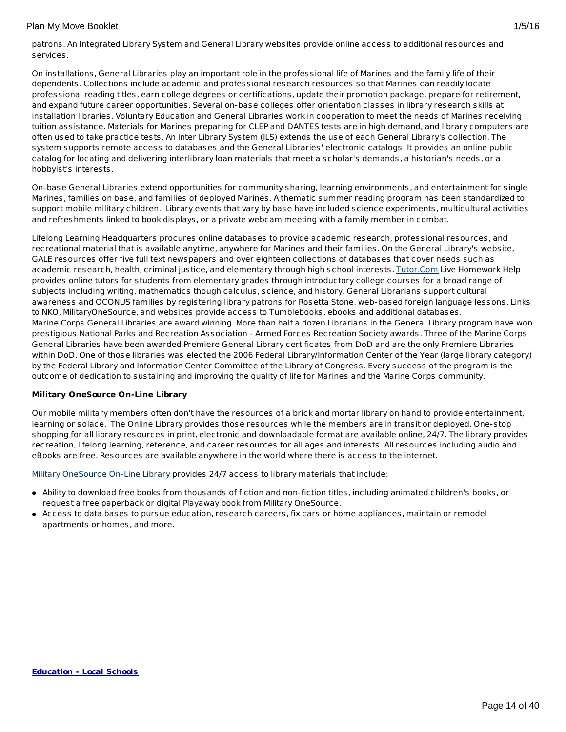patrons. An Integrated Library System and General Library websites provide online access to additional resources and services.

On installations, General Libraries play an important role in the professional life of Marines and the family life of their dependents. Collections include academic and professional research resources so that Marines can readily locate professional reading titles, earn college degrees or certifications, update their promotion package, prepare for retirement, and expand future career opportunities. Several on-base colleges offer orientation classes in library research skills at installation libraries. Voluntary Education and General Libraries work in cooperation to meet the needs of Marines receiving tuition assistance. Materials for Marines preparing for CLEP and DANTES tests are in high demand, and library computers are often used to take practice tests. An Inter Library System (ILS) extends the use of each General Library's collection. The system supports remote access to databases and the General Libraries' electronic catalogs. It provides an online public catalog for locating and delivering interlibrary loan materials that meet a scholar's demands, a historian's needs, or a hobbyist's interests.

On-base General Libraries extend opportunities for community sharing, learning environments, and entertainment for single Marines, families on base, and families of deployed Marines. A thematic summer reading program has been standardized to support mobile military children. Library events that vary by base have included science experiments, multicultural activities and refreshments linked to book displays, or a private webcam meeting with a family member in combat.

Lifelong Learning Headquarters procures online databases to provide academic research, professional resources, and recreational material that is available anytime, anywhere for Marines and their families. On the General Library's website, GALE resources offer five full text newspapers and over eighteen collections of databases that cover needs such as academic research, health, criminal justice, and elementary through high school interests. [Tutor.Com](http://www.tutor.com/military) Live Homework Help provides online tutors for students from elementary grades through introductory college courses for a broad range of subjects including writing, mathematics though calculus, science, and history. General Librarians support cultural awareness and OCONUS families by registering library patrons for Rosetta Stone, web-based foreign language lessons. Links to NKO, MilitaryOneSource, and websites provide access to Tumblebooks, ebooks and additional databases. Marine Corps General Libraries are award winning. More than half a dozen Librarians in the General Library program have won prestigious National Parks and Recreation Association - Armed Forces Recreation Society awards. Three of the Marine Corps General Libraries have been awarded Premiere General Library certificates from DoD and are the only Premiere Libraries within DoD. One of those libraries was elected the 2006 Federal Library/Information Center of the Year (large library category) by the Federal Library and Information Center Committee of the Library of Congress. Every success of the program is the outcome of dedication to sustaining and improving the quality of life for Marines and the Marine Corps community.

## **Military OneSource On-Line Library**

Our mobile military members often don't have the resources of a brick and mortar library on hand to provide entertainment, learning or solace. The Online Library provides those resources while the members are in transit or deployed. One-stop shopping for all library resources in print, electronic and downloadable format are available online, 24/7. The library provides recreation, lifelong learning, reference, and career resources for all ages and interests. All resources including audio and eBooks are free. Resources are available anywhere in the world where there is access to the internet.

Military [OneSource](http://www.militaryonesource.mil) On-Line Library provides 24/7 access to library materials that include:

- Ability to download free books from thousands of fiction and non-fiction titles, including animated children's books, or request a free paperback or digital Playaway book from Military OneSource.
- Access to data bases to pursue education, research careers, fix cars or home appliances, maintain or remodel apartments or homes, and more.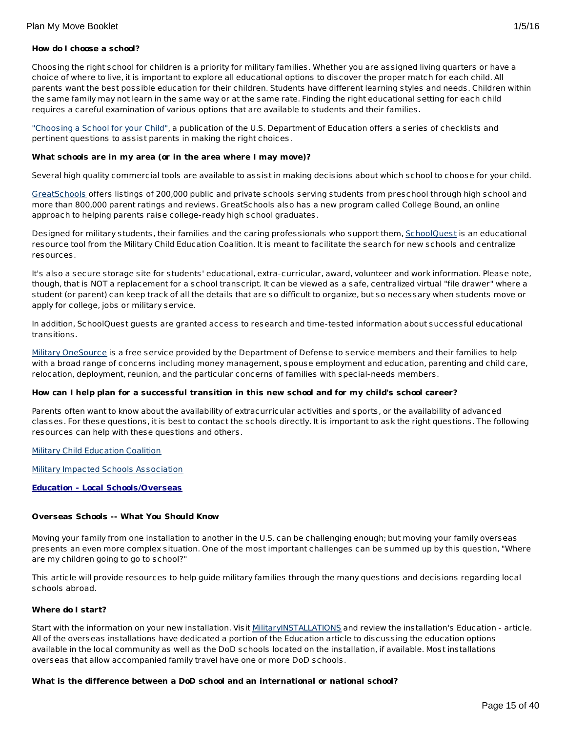## **How do I choose a school?**

Choosing the right school for children is a priority for military families. Whether you are assigned living quarters or have a choice of where to live, it is important to explore all educational options to discover the proper match for each child. All parents want the best possible education for their children. Students have different learning styles and needs. Children within the same family may not learn in the same way or at the same rate. Finding the right educational setting for each child requires a careful examination of various options that are available to students and their families.

["Choosing](http://www2.ed.gov/parents/schools/find/choose/index.html) a School for your Child", a publication of the U.S. Department of Education offers a series of checklists and pertinent questions to assist parents in making the right choices.

#### **What schools are in my area (or in the area where I may move)?**

Several high quality commercial tools are available to assist in making decisions about which school to choose for your child.

[GreatSchools](http://www.greatschools.org/) offers listings of 200,000 public and private schools serving students from preschool through high school and more than 800,000 parent ratings and reviews. GreatSchools also has a new program called College Bound, an online approach to helping parents raise college-ready high school graduates.

Designed for military students, their families and the caring professionals who support them, [SchoolQuest](http://www.schoolquest.org/) is an educational resource tool from the Military Child Education Coalition. It is meant to facilitate the search for new schools and centralize resources.

It's also a secure storage site for students' educational, extra-curricular, award, volunteer and work information. Please note, though, that is NOT a replacement for a school transcript. It can be viewed as a safe, centralized virtual "file drawer" where a student (or parent) can keep track of all the details that are so difficult to organize, but so necessary when students move or apply for college, jobs or military service.

In addition, SchoolQuest guests are granted access to research and time-tested information about successful educational transitions.

Military [OneSource](http://www.militaryonesource.mil/) is a free service provided by the Department of Defense to service members and their families to help with a broad range of concerns including money management, spouse employment and education, parenting and child care, relocation, deployment, reunion, and the particular concerns of families with special-needs members.

## How can I help plan for a successful transition in this new school and for my child's school career?

Parents often want to know about the availability of extracurricular activities and sports, or the availability of advanced classes. For these questions, it is best to contact the schools directly. It is important to ask the right questions. The following resources can help with these questions and others.

**Military Child [Education](http://www.militarychild.org/) Coalition** 

Military Impacted Schools [Association](http://militaryimpactedschoolsassociation.org/)

## **Education - Local Schools/Overseas**

## **Overseas Schools -- What You Should Know**

Moving your family from one installation to another in the U.S. can be challenging enough; but moving your family overseas presents an even more complex situation. One of the most important challenges can be summed up by this question, "Where are my children going to go to school?"

This article will provide resources to help guide military families through the many questions and decisions regarding local schools abroad.

## **Where do I start?**

Start with the information on your new installation. Visit [MilitaryINSTALLATIONS](http://www.militaryinstallations.dod.mil) and review the installation's Education - article. All of the overseas installations have dedicated a portion of the Education article to discussing the education options available in the local community as well as the DoD schools located on the installation, if available. Most installations overseas that allow accompanied family travel have one or more DoD schools.

## **What is the difference between a DoD school and an international or national school?**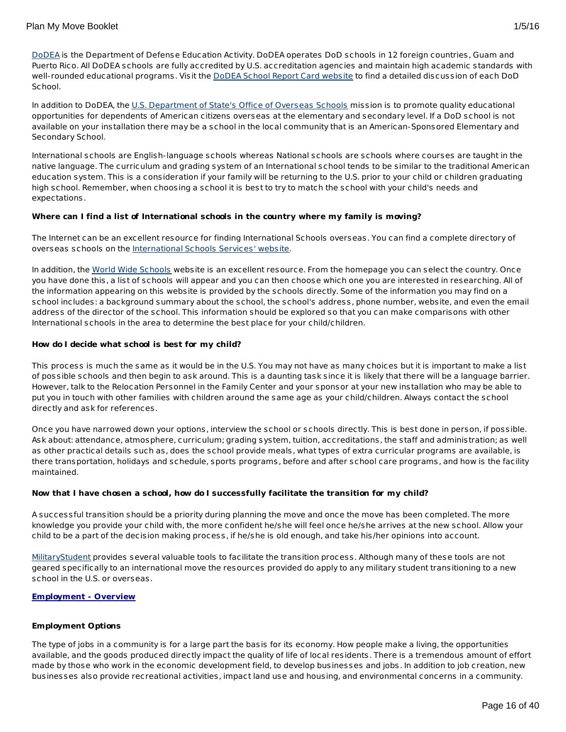In addition to DoDEA, the U.S. [Department](http://www.state.gov/m/a/os/) of State's Office of Overseas Schools mission is to promote quality educational opportunities for dependents of American citizens overseas at the elementary and secondary level. If a DoD school is not available on your installation there may be a school in the local community that is an American-Sponsored Elementary and Secondary School.

International schools are English-language schools whereas National schools are schools where courses are taught in the native language. The curriculum and grading system of an International school tends to be similar to the traditional American education system. This is a consideration if your family will be returning to the U.S. prior to your child or children graduating high school. Remember, when choosing a school it is best to try to match the school with your child's needs and expectations.

## **Where can I find a list of International schools in the country where my family is moving?**

The Internet can be an excellent resource for finding International Schools overseas. You can find a complete directory of overseas schools on the [International](http://www.iss.edu/) Schools Services' website.

In addition, the World Wide [Schools](http://www.english-schools.org/index.htm) website is an excellent resource. From the homepage you can select the country. Once you have done this, a list of schools will appear and you can then choose which one you are interested in researching. All of the information appearing on this website is provided by the schools directly. Some of the information you may find on a school includes: a background summary about the school, the school's address, phone number, website, and even the email address of the director of the school. This information should be explored so that you can make comparisons with other International schools in the area to determine the best place for your child/children.

## **How do I decide what school is best for my child?**

This process is much the same as it would be in the U.S. You may not have as many choices but it is important to make a list of possible schools and then begin to ask around. This is a daunting task since it is likely that there will be a language barrier. However, talk to the Relocation Personnel in the Family Center and your sponsor at your new installation who may be able to put you in touch with other families with children around the same age as your child/children. Always contact the school directly and ask for references.

Once you have narrowed down your options, interview the school or schools directly. This is best done in person, if possible. Ask about: attendance, atmosphere, curriculum; grading system, tuition, accreditations, the staff and administration; as well as other practical details such as, does the school provide meals, what types of extra curricular programs are available, is there transportation, holidays and schedule, sports programs, before and after school care programs, and how is the facility maintained.

## **Now that I have chosen a school, how do I successfully facilitate the transition for my child?**

A successful transition should be a priority during planning the move and once the move has been completed. The more knowledge you provide your child with, the more confident he/she will feel once he/she arrives at the new school. Allow your child to be a part of the decision making process, if he/she is old enough, and take his/her opinions into account.

[MilitaryStudent](http://militaryk12partners.dodea.edu/) provides several valuable tools to facilitate the transition process. Although many of these tools are not geared specifically to an international move the resources provided do apply to any military student transitioning to a new school in the U.S. or overseas.

## **Employment - Overview**

## **Employment Options**

The type of jobs in a community is for a large part the basis for its economy. How people make a living, the opportunities available, and the goods produced directly impact the quality of life of local residents. There is a tremendous amount of effort made by those who work in the economic development field, to develop businesses and jobs. In addition to job creation, new businesses also provide recreational activities, impact land use and housing, and environmental concerns in a community.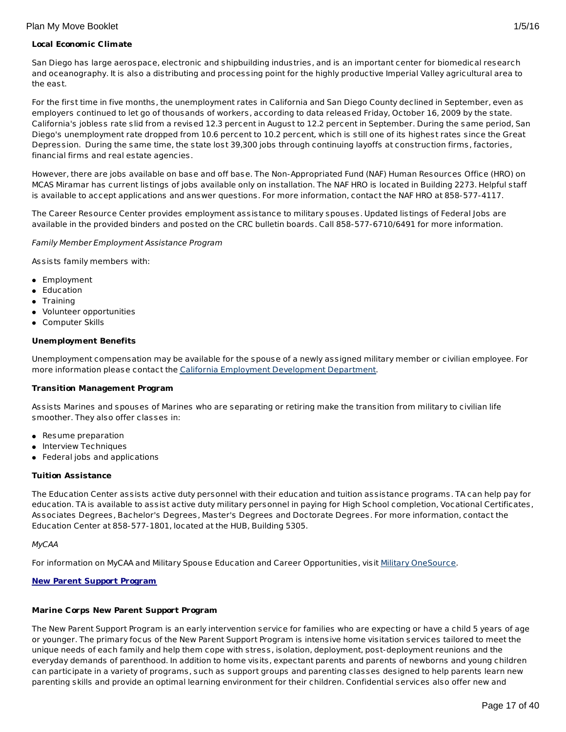## **Local Economic Climate**

San Diego has large aerospace, electronic and shipbuilding industries, and is an important center for biomedical research and oceanography. It is also a distributing and processing point for the highly productive Imperial Valley agricultural area to the east.

For the first time in five months, the unemployment rates in California and San Diego County declined in September, even as employers continued to let go of thousands of workers, according to data released Friday, October 16, 2009 by the state. California's jobless rate slid from a revised 12.3 percent in August to 12.2 percent in September. During the same period, San Diego's unemployment rate dropped from 10.6 percent to 10.2 percent, which is still one of its highest rates since the Great Depression. During the same time, the state lost 39,300 jobs through continuing layoffs at construction firms, factories, financial firms and real estate agencies.

However, there are jobs available on base and off base. The Non-Appropriated Fund (NAF) Human Resources Office (HRO) on MCAS Miramar has current listings of jobs available only on installation. The NAF HRO is located in Building 2273. Helpful staff is available to accept applications and answer questions. For more information, contact the NAF HRO at 858-577-4117.

The Career Resource Center provides employment assistance to military spouses. Updated listings of Federal Jobs are available in the provided binders and posted on the CRC bulletin boards. Call 858-577-6710/6491 for more information.

## Family Member Employment Assistance Program

Assists family members with:

- Employment
- **•** Education
- Training
- Volunteer opportunities
- Computer Skills

## **Unemployment Benefits**

Unemployment compensation may be available for the spouse of a newly assigned military member or civilian employee. For more information please contact the California Employment [Development](http://www.edd.ca.gov/fleclaim.htm) Department.

## **Transition Management Program**

Assists Marines and spouses of Marines who are separating or retiring make the transition from military to civilian life smoother. They also offer classes in:

- Resume preparation
- Interview Techniques
- Federal jobs and applications

## **Tuition Assistance**

The Education Center assists active duty personnel with their education and tuition assistance programs. TA can help pay for education. TA is available to assist active duty military personnel in paying for High School completion, Vocational Certificates, Associates Degrees, Bachelor's Degrees, Master's Degrees and Doctorate Degrees. For more information, contact the Education Center at 858-577-1801, located at the HUB, Building 5305.

## MyCAA

For information on MyCAA and Military Spouse Education and Career Opportunities, visit Military [OneSource](http://www.militaryonesource.mil/MOS/f?p=MOS:TOPIC:0::::SV,UT,LG,CID,TID:ArmyActive,Member,EN,23.50.40.0.0.0.0.0.0,23.50.40.10.0.0.0.0.0).

## **New Parent Support Program**

## **Marine Corps New Parent Support Program**

The New Parent Support Program is an early intervention service for families who are expecting or have a child 5 years of age or younger. The primary focus of the New Parent Support Program is intensive home visitation services tailored to meet the unique needs of each family and help them cope with stress, isolation, deployment, post-deployment reunions and the everyday demands of parenthood. In addition to home visits, expectant parents and parents of newborns and young children can participate in a variety of programs, such as support groups and parenting classes designed to help parents learn new parenting skills and provide an optimal learning environment for their children. Confidential services also offer new and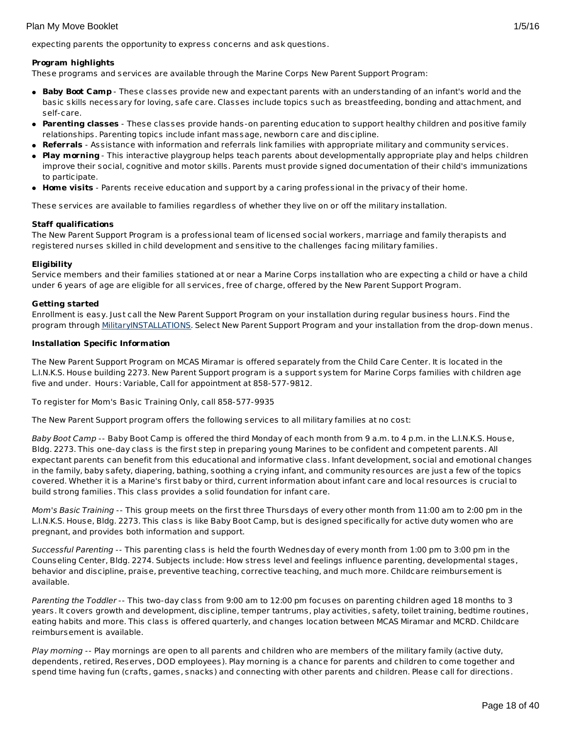expecting parents the opportunity to express concerns and ask questions.

## **Program highlights**

These programs and services are available through the Marine Corps New Parent Support Program:

- **Baby Boot Camp** These classes provide new and expectant parents with an understanding of an infant's world and the basic skills necessary for loving, safe care. Classes include topics such as breastfeeding, bonding and attachment, and self-care.
- **Parenting classes** These classes provide hands-on parenting education to support healthy children and positive family relationships. Parenting topics include infant massage, newborn care and discipline.
- **Referrals** Assistance with information and referrals link families with appropriate military and community services.
- **Play morning** This interactive playgroup helps teach parents about developmentally appropriate play and helps children improve their social, cognitive and motor skills. Parents must provide signed documentation of their child's immunizations to participate.
- **Home visits** Parents receive education and support by a caring professional in the privacy of their home.

These services are available to families regardless of whether they live on or off the military installation.

## **Staff qualifications**

The New Parent Support Program is a professional team of licensed social workers, marriage and family therapists and registered nurses skilled in child development and sensitive to the challenges facing military families.

## **Eligibility**

Service members and their families stationed at or near a Marine Corps installation who are expecting a child or have a child under 6 years of age are eligible for all services, free of charge, offered by the New Parent Support Program.

## **Getting started**

Enrollment is easy. Just call the New Parent Support Program on your installation during regular business hours. Find the program through [MilitaryINSTALLATIONS](http://www.militaryinstallations.dod.mil/). Select New Parent Support Program and your installation from the drop-down menus.

## **Installation Specific Information**

The New Parent Support Program on MCAS Miramar is offered separately from the Child Care Center. It is located in the L.I.N.K.S. House building 2273. New Parent Support program is a support system for Marine Corps families with children age five and under. Hours: Variable, Call for appointment at 858-577-9812.

To register for Mom's Basic Training Only, call 858-577-9935

The New Parent Support program offers the following services to all military families at no cost:

Baby Boot Camp -- Baby Boot Camp is offered the third Monday of each month from 9 a.m. to 4 p.m. in the L.I.N.K.S. House, Bldg. 2273. This one-day class is the first step in preparing young Marines to be confident and competent parents. All expectant parents can benefit from this educational and informative class. Infant development, social and emotional changes in the family, baby safety, diapering, bathing, soothing a crying infant, and community resources are just a few of the topics covered. Whether it is a Marine's first baby or third, current information about infant care and local resources is crucial to build strong families. This class provides a solid foundation for infant care.

Mom's Basic Training -- This group meets on the first three Thursdays of every other month from 11:00 am to 2:00 pm in the L.I.N.K.S. House, Bldg. 2273. This class is like Baby Boot Camp, but is designed specifically for active duty women who are pregnant, and provides both information and support.

Successful Parenting -- This parenting class is held the fourth Wednesday of every month from 1:00 pm to 3:00 pm in the Counseling Center, Bldg. 2274. Subjects include: How stress level and feelings influence parenting, developmental stages, behavior and discipline, praise, preventive teaching, corrective teaching, and much more. Childcare reimbursement is available.

Parenting the Toddler -- This two-day class from 9:00 am to 12:00 pm focuses on parenting children aged 18 months to 3 years. It covers growth and development, discipline, temper tantrums, play activities, safety, toilet training, bedtime routines, eating habits and more. This class is offered quarterly, and changes location between MCAS Miramar and MCRD. Childcare reimbursement is available.

Play morning -- Play mornings are open to all parents and children who are members of the military family (active duty, dependents, retired, Reserves, DOD employees). Play morning is a chance for parents and children to come together and spend time having fun (crafts, games, snacks) and connecting with other parents and children. Please call for directions.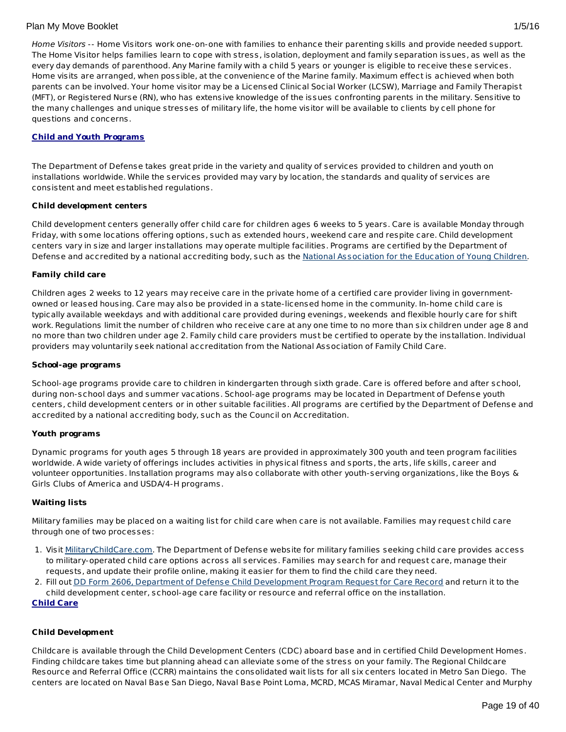## **Child and Youth Programs**

The Department of Defense takes great pride in the variety and quality of services provided to children and youth on installations worldwide. While the services provided may vary by location, the standards and quality of services are consistent and meet established regulations.

## **Child development centers**

Child development centers generally offer child care for children ages 6 weeks to 5 years. Care is available Monday through Friday, with some locations offering options, such as extended hours, weekend care and respite care. Child development centers vary in size and larger installations may operate multiple facilities. Programs are certified by the Department of Defense and accredited by a national accrediting body, such as the National [Association](http://www.naeyc.org/) for the Education of Young Children.

## **Family child care**

Children ages 2 weeks to 12 years may receive care in the private home of a certified care provider living in governmentowned or leased housing. Care may also be provided in a state-licensed home in the community. In-home child care is typically available weekdays and with additional care provided during evenings, weekends and flexible hourly care for shift work. Regulations limit the number of children who receive care at any one time to no more than six children under age 8 and no more than two children under age 2. Family child care providers must be certified to operate by the installation. Individual providers may voluntarily seek national accreditation from the National Association of Family Child Care.

## **School-age programs**

School-age programs provide care to children in kindergarten through sixth grade. Care is offered before and after school, during non-school days and summer vacations. School-age programs may be located in Department of Defense youth centers, child development centers or in other suitable facilities. All programs are certified by the Department of Defense and accredited by a national accrediting body, such as the Council on Accreditation.

## **Youth programs**

Dynamic programs for youth ages 5 through 18 years are provided in approximately 300 youth and teen program facilities worldwide. A wide variety of offerings includes activities in physical fitness and sports, the arts, life skills, career and volunteer opportunities. Installation programs may also collaborate with other youth-serving organizations, like the Boys & Girls Clubs of America and USDA/4-H programs.

## **Waiting lists**

Military families may be placed on a waiting list for child care when care is not available. Families may request child care through one of two processes:

- 1. Visit [MilitaryChildCare.com](https://militarychildcare.cnic.navy.mil/mcc-consumer/home/viewhome.action). The Department of Defense website for military families seeking child care provides access to military-operated child care options across all services. Families may search for and request care, manage their requests, and update their profile online, making it easier for them to find the child care they need.
- 2. Fill out DD Form 2606, Department of Defense Child [Development](http://www.dtic.mil/whs/directives/forms/eforms/dd2606.pdf) Program Request for Care Record and return it to the child development center, school-age care facility or resource and referral office on the installation.

## **Child Care**

## **Child Development**

Childcare is available through the Child Development Centers (CDC) aboard base and in certified Child Development Homes. Finding childcare takes time but planning ahead can alleviate some of the stress on your family. The Regional Childcare Resource and Referral Office (CCRR) maintains the consolidated wait lists for all six centers located in Metro San Diego. The centers are located on Naval Base San Diego, Naval Base Point Loma, MCRD, MCAS Miramar, Naval Medical Center and Murphy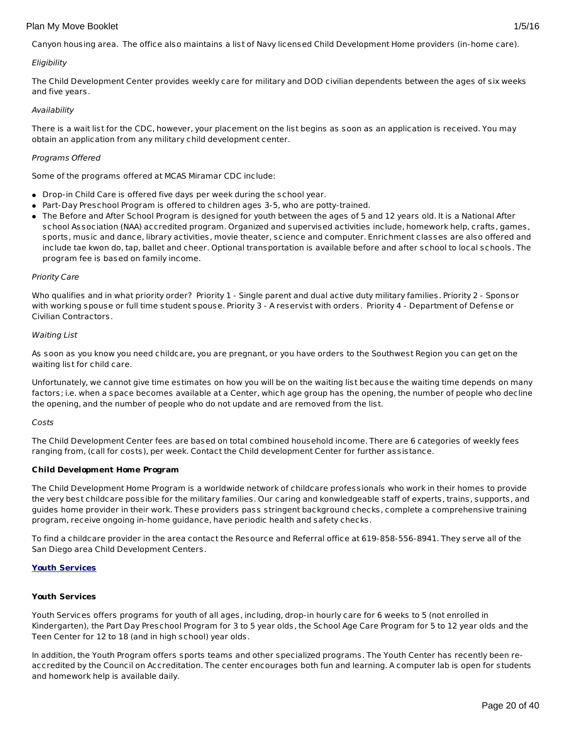## <span id="page-19-0"></span>**Eligibility**

The Child Development Center provides weekly care for military and DOD civilian dependents between the ages of six weeks and five years.

## Availability

There is a wait list for the CDC, however, your placement on the list begins as soon as an application is received. You may obtain an application from any military child development center.

## Programs Offered

Some of the programs offered at MCAS Miramar CDC include:

- Drop-in Child Care is offered five days per week during the school year.
- Part-Day Preschool Program is offered to children ages 3-5, who are potty-trained.
- The Before and After School Program is designed for youth between the ages of 5 and 12 years old. It is a National After school Association (NAA) accredited program. Organized and supervised activities include, homework help, crafts, games, sports, music and dance, library activities, movie theater, science and computer. Enrichment classes are also offered and include tae kwon do, tap, ballet and cheer. Optional transportation is available before and after school to local schools. The program fee is based on family income.

## Priority Care

Who qualifies and in what priority order? Priority 1 - Single parent and dual active duty military families. Priority 2 - Sponsor with working spouse or full time student spouse. Priority 3 - A reservist with orders. Priority 4 - Department of Defense or Civilian Contractors.

## Waiting List

As soon as you know you need childcare, you are pregnant, or you have orders to the Southwest Region you can get on the waiting list for child care.

Unfortunately, we cannot give time estimates on how you will be on the waiting list because the waiting time depends on many factors; i.e. when a space becomes available at a Center, which age group has the opening, the number of people who decline the opening, and the number of people who do not update and are removed from the list.

## Costs

The Child Development Center fees are based on total combined household income. There are 6 categories of weekly fees ranging from, (call for costs), per week. Contact the Child development Center for further assistance.

## **Child Development Home Program**

The Child Development Home Program is a worldwide network of childcare professionals who work in their homes to provide the very best childcare possible for the military families. Our caring and konwledgeable staff of experts, trains, supports, and guides home provider in their work. These providers pass stringent background checks, complete a comprehensive training program, receive ongoing in-home guidance, have periodic health and safety checks.

To find a childcare provider in the area contact the Resource and Referral office at 619-858-556-8941. They serve all of the San Diego area Child Development Centers.

## **Youth Services**

## **Youth Services**

Youth Services offers programs for youth of all ages, including, drop-in hourly care for 6 weeks to 5 (not enrolled in Kindergarten), the Part Day Preschool Program for 3 to 5 year olds, the School Age Care Program for 5 to 12 year olds and the Teen Center for 12 to 18 (and in high school) year olds.

In addition, the Youth Program offers sports teams and other specialized programs. The Youth Center has recently been reaccredited by the Council on Accreditation. The center encourages both fun and learning. A computer lab is open for students and homework help is available daily.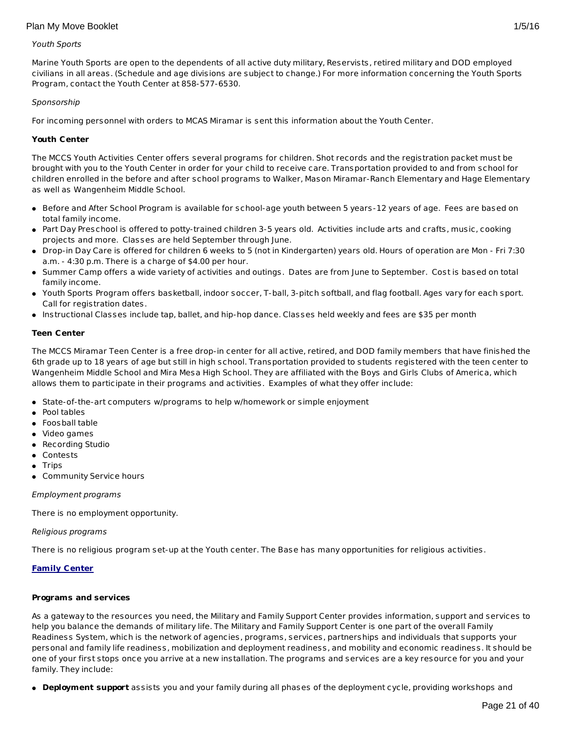#### Youth Sports

Marine Youth Sports are open to the dependents of all active duty military, Reservists, retired military and DOD employed civilians in all areas. (Schedule and age divisions are subject to change.) For more information concerning the Youth Sports Program, contact the Youth Center at 858-577-6530.

#### Sponsorship

For incoming personnel with orders to MCAS Miramar is sent this information about the Youth Center.

#### **Youth Center**

The MCCS Youth Activities Center offers several programs for children. Shot records and the registration packet must be brought with you to the Youth Center in order for your child to receive care. Transportation provided to and from school for children enrolled in the before and after school programs to Walker, Mason Miramar-Ranch Elementary and Hage Elementary as well as Wangenheim Middle School.

- Before and After School Program is available for school-age youth between 5 years-12 years of age. Fees are based on total family income.
- Part Day Preschool is offered to potty-trained children 3-5 years old. Activities include arts and crafts, music, cooking projects and more. Classes are held September through June.
- Drop-in Day Care is offered for children 6 weeks to 5 (not in Kindergarten) years old. Hours of operation are Mon Fri 7:30 a.m. - 4:30 p.m. There is a charge of \$4.00 per hour.
- Summer Camp offers a wide variety of activities and outings. Dates are from June to September. Cost is based on total family income.
- Youth Sports Program offers basketball, indoor soccer, T-ball, 3-pitch softball, and flag football. Ages vary for each sport. Call for registration dates.
- Instructional Classes include tap, ballet, and hip-hop dance. Classes held weekly and fees are \$35 per month

#### **Teen Center**

The MCCS Miramar Teen Center is a free drop-in center for all active, retired, and DOD family members that have finished the 6th grade up to 18 years of age but still in high school. Transportation provided to students registered with the teen center to Wangenheim Middle School and Mira Mesa High School. They are affiliated with the Boys and Girls Clubs of America, which allows them to participate in their programs and activities. Examples of what they offer include:

- State-of-the-art computers w/programs to help w/homework or simple enjoyment
- Pool tables
- **•** Foosball table
- Video games
- **•** Recording Studio
- Contests
- $\bullet$  Trips
- Community Service hours

#### Employment programs

There is no employment opportunity.

#### Religious programs

There is no religious program set-up at the Youth center. The Base has many opportunities for religious activities.

## **Family Center**

#### **Programs and services**

As a gateway to the resources you need, the Military and Family Support Center provides information, support and services to help you balance the demands of military life. The Military and Family Support Center is one part of the overall Family Readiness System, which is the network of agencies, programs, services, partnerships and individuals that supports your personal and family life readiness, mobilization and deployment readiness, and mobility and economic readiness. It should be one of your first stops once you arrive at a new installation. The programs and services are a key resource for you and your family. They include:

**Deployment support** assists you and your family during all phases of the deployment cycle, providing workshops and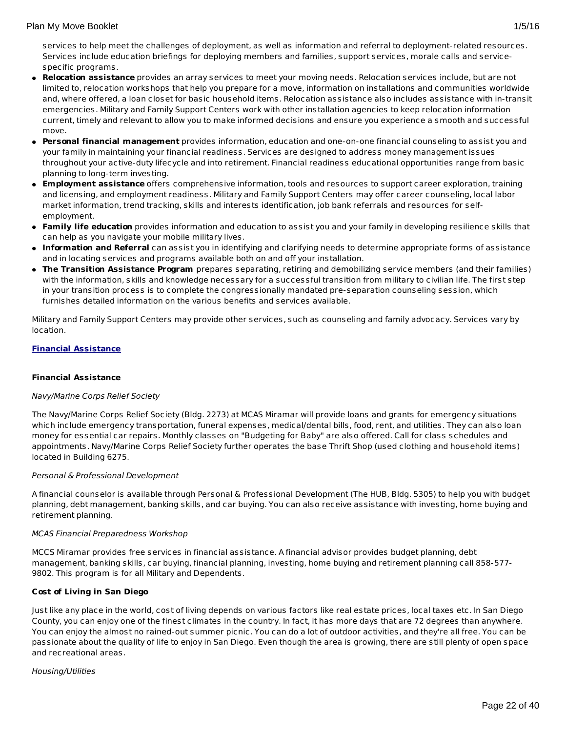## Plan My Move Booklet 2012 1/5/16

services to help meet the challenges of deployment, as well as information and referral to deployment-related resources. Services include education briefings for deploying members and families, support services, morale calls and servicespecific programs.

- **Relocation assistance** provides an array services to meet your moving needs. Relocation services include, but are not limited to, relocation workshops that help you prepare for a move, information on installations and communities worldwide and, where offered, a loan closet for basic household items. Relocation assistance also includes assistance with in-transit emergencies. Military and Family Support Centers work with other installation agencies to keep relocation information current, timely and relevant to allow you to make informed decisions and ensure you experience a smooth and successful move.
- **Personal financial management** provides information, education and one-on-one financial counseling to assist you and your family in maintaining your financial readiness. Services are designed to address money management issues throughout your active-duty lifecycle and into retirement. Financial readiness educational opportunities range from basic planning to long-term investing.
- **Employment assistance** offers comprehensive information, tools and resources to support career exploration, training and licensing, and employment readiness. Military and Family Support Centers may offer career counseling, local labor market information, trend tracking, skills and interests identification, job bank referrals and resources for selfemployment.
- **Family life education** provides information and education to assist you and your family in developing resilience skills that can help as you navigate your mobile military lives.
- **Information and Referral** can assist you in identifying and clarifying needs to determine appropriate forms of assistance and in locating services and programs available both on and off your installation.
- **The Transition Assistance Program** prepares separating, retiring and demobilizing service members (and their families) with the information, skills and knowledge necessary for a successful transition from military to civilian life. The first step in your transition process is to complete the congressionally mandated pre-separation counseling session, which furnishes detailed information on the various benefits and services available.

Military and Family Support Centers may provide other services, such as counseling and family advocacy. Services vary by location.

## **Financial Assistance**

## **Financial Assistance**

## Navy/Marine Corps Relief Society

The Navy/Marine Corps Relief Society (Bldg. 2273) at MCAS Miramar will provide loans and grants for emergency situations which include emergency transportation, funeral expenses, medical/dental bills, food, rent, and utilities. They can also loan money for essential car repairs. Monthly classes on "Budgeting for Baby" are also offered. Call for class schedules and appointments. Navy/Marine Corps Relief Society further operates the base Thrift Shop (used clothing and household items) located in Building 6275.

## Personal & Professional Development

A financial counselor is available through Personal & Professional Development (The HUB, Bldg. 5305) to help you with budget planning, debt management, banking skills, and car buying. You can also receive assistance with investing, home buying and retirement planning.

## MCAS Financial Preparedness Workshop

MCCS Miramar provides free services in financial assistance. A financial advisor provides budget planning, debt management, banking skills, car buying, financial planning, investing, home buying and retirement planning call 858-577- 9802. This program is for all Military and Dependents.

## **Cost of Living in San Diego**

Just like any place in the world, cost of living depends on various factors like real estate prices, local taxes etc. In San Diego County, you can enjoy one of the finest climates in the country. In fact, it has more days that are 72 degrees than anywhere. You can enjoy the almost no rained-out summer picnic. You can do a lot of outdoor activities, and they're all free. You can be passionate about the quality of life to enjoy in San Diego. Even though the area is growing, there are still plenty of open space and recreational areas.

## Housing/Utilities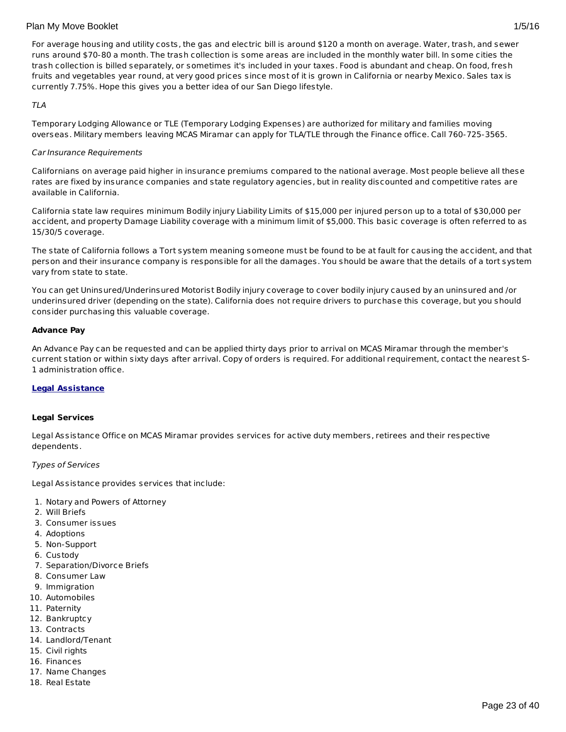For average housing and utility costs, the gas and electric bill is around \$120 a month on average. Water, trash, and sewer runs around \$70-80 a month. The trash collection is some areas are included in the monthly water bill. In some cities the trash collection is billed separately, or sometimes it's included in your taxes. Food is abundant and cheap. On food, fresh fruits and vegetables year round, at very good prices since most of it is grown in California or nearby Mexico. Sales tax is currently 7.75%. Hope this gives you a better idea of our San Diego lifestyle.

## TLA

Temporary Lodging Allowance or TLE (Temporary Lodging Expenses) are authorized for military and families moving overseas. Military members leaving MCAS Miramar can apply for TLA/TLE through the Finance office. Call 760-725-3565.

## Car Insurance Requirements

Californians on average paid higher in insurance premiums compared to the national average. Most people believe all these rates are fixed by insurance companies and state regulatory agencies, but in reality discounted and competitive rates are available in California.

California state law requires minimum Bodily injury Liability Limits of \$15,000 per injured person up to a total of \$30,000 per accident, and property Damage Liability coverage with a minimum limit of \$5,000. This basic coverage is often referred to as 15/30/5 coverage.

The state of California follows a Tort system meaning someone must be found to be at fault for causing the accident, and that person and their insurance company is responsible for all the damages. You should be aware that the details of a tort system vary from state to state.

You can get Uninsured/Underinsured Motorist Bodily injury coverage to cover bodily injury caused by an uninsured and /or underinsured driver (depending on the state). California does not require drivers to purchase this coverage, but you should consider purchasing this valuable coverage.

## **Advance Pay**

An Advance Pay can be requested and can be applied thirty days prior to arrival on MCAS Miramar through the member's current station or within sixty days after arrival. Copy of orders is required. For additional requirement, contact the nearest S-1 administration office.

## **Legal Assistance**

## **Legal Services**

Legal Assistance Office on MCAS Miramar provides services for active duty members, retirees and their respective dependents.

## Types of Services

Legal Assistance provides services that include:

- 1. Notary and Powers of Attorney
- 2. Will Briefs
- 3. Consumer issues
- 4. Adoptions
- 5. Non-Support
- 6. Custody
- 7. Separation/Divorce Briefs
- 8. Consumer Law
- 9. Immigration
- 10. Automobiles
- 11. Paternity
- 12. Bankruptcy
- 13. Contracts
- 14. Landlord/Tenant
- 15. Civil rights
- 16. Finances
- 17. Name Changes
- 18. Real Estate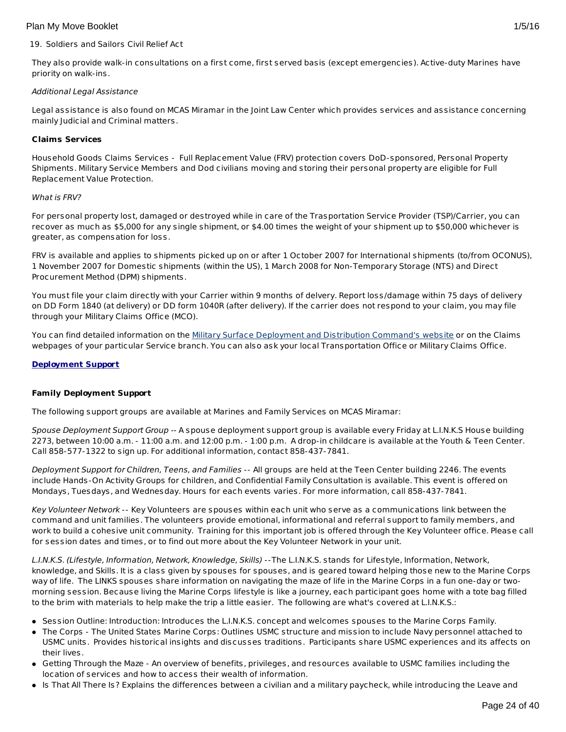## 19. Soldiers and Sailors Civil Relief Act

They also provide walk-in consultations on a first come, first served basis (except emergencies). Active-duty Marines have priority on walk-ins.

## Additional Legal Assistance

Legal assistance is also found on MCAS Miramar in the Joint Law Center which provides services and assistance concerning mainly Judicial and Criminal matters.

## **Claims Services**

Household Goods Claims Services - Full Replacement Value (FRV) protection covers DoD-sponsored, Personal Property Shipments. Military Service Members and Dod civilians moving and storing their personal property are eligible for Full Replacement Value Protection.

## What is FRV?

For personal property lost, damaged or destroyed while in care of the Trasportation Service Provider (TSP)/Carrier, you can recover as much as \$5,000 for any single shipment, or \$4.00 times the weight of your shipment up to \$50,000 whichever is greater, as compensation for loss.

FRV is available and applies to shipments picked up on or after 1 October 2007 for International shipments (to/from OCONUS), 1 November 2007 for Domestic shipments (within the US), 1 March 2008 for Non-Temporary Storage (NTS) and Direct Procurement Method (DPM) shipments.

You must file your claim directly with your Carrier within 9 months of delvery. Report loss/damage within 75 days of delivery on DD Form 1840 (at delivery) or DD form 1040R (after delivery). If the carrier does not respond to your claim, you may file through your Military Claims Office (MCO).

You can find detailed information on the Military Surface [Deployment](http://www.sddc.army.mil/) and Distribution Command's website or on the Claims webpages of your particular Service branch. You can also ask your local Transportation Office or Military Claims Office.

## **Deployment Support**

## **Family Deployment Support**

The following support groups are available at Marines and Family Services on MCAS Miramar:

Spouse Deployment Support Group -- A spouse deployment support group is available every Friday at L.I.N.K.S House building 2273, between 10:00 a.m. - 11:00 a.m. and 12:00 p.m. - 1:00 p.m. A drop-in childcare is available at the Youth & Teen Center. Call 858-577-1322 to sign up. For additional information, contact 858-437-7841.

Deployment Support for Children, Teens, and Families -- All groups are held at the Teen Center building 2246. The events include Hands-On Activity Groups for children, and Confidential Family Consultation is available. This event is offered on Mondays, Tuesdays, and Wednesday. Hours for each events varies. For more information, call 858-437-7841.

Key Volunteer Network -- Key Volunteers are spouses within each unit who serve as a communications link between the command and unit families. The volunteers provide emotional, informational and referral support to family members, and work to build a cohesive unit community. Training for this important job is offered through the Key Volunteer office. Please call for session dates and times, or to find out more about the Key Volunteer Network in your unit.

L.I.N.K.S. (Lifestyle, Information, Network, Knowledge, Skills) --The L.I.N.K.S. stands for Lifestyle, Information, Network, knowledge, and Skills. It is a class given by spouses for spouses, and is geared toward helping those new to the Marine Corps way of life. The LINKS spouses share information on navigating the maze of life in the Marine Corps in a fun one-day or twomorning session. Because living the Marine Corps lifestyle is like a journey, each participant goes home with a tote bag filled to the brim with materials to help make the trip a little easier. The following are what's covered at L.I.N.K.S.:

- Session Outline: Introduction: Introduces the L.I.N.K.S. concept and welcomes spouses to the Marine Corps Family.
- The Corps The United States Marine Corps: Outlines USMC structure and mission to include Navy personnel attached to USMC units. Provides historical insights and discusses traditions. Participants share USMC experiences and its affects on their lives.
- Getting Through the Maze An overview of benefits, privileges, and resources available to USMC families including the location of services and how to access their wealth of information.
- Is That All There Is? Explains the differences between a civilian and a military paycheck, while introducing the Leave and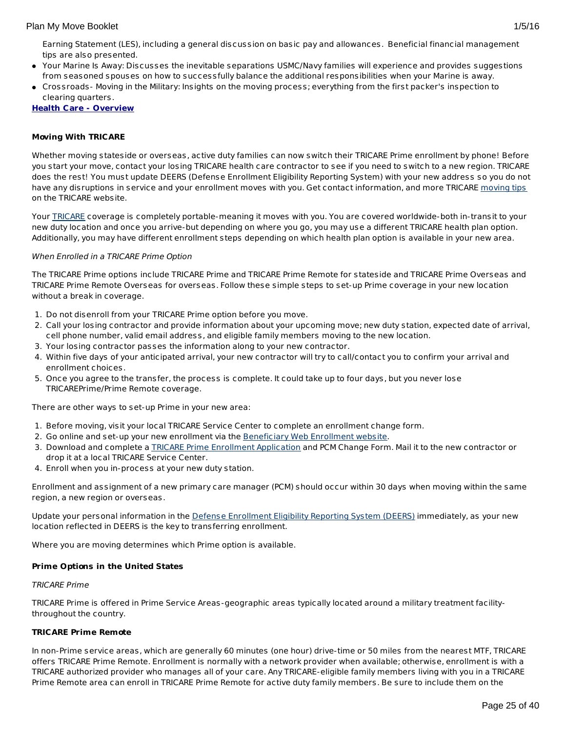- Your Marine Is Away: Discusses the inevitable separations USMC/Navy families will experience and provides suggestions from seasoned spouses on how to successfully balance the additional responsibilities when your Marine is away.
- Crossroads- Moving in the Military: Insights on the moving process; everything from the first packer's inspection to clearing quarters.

**Health Care - Overview**

## **Moving With TRICARE**

Whether moving stateside or overseas, active duty families can now switch their TRICARE Prime enrollment by phone! Before you start your move, contact your losing TRICARE health care contractor to see if you need to switch to a new region. TRICARE does the rest! You must update DEERS (Defense Enrollment Eligibility Reporting System) with your new address so you do not have any disruptions in service and your enrollment moves with you. Get contact information, and more TRICARE [moving](http://www.tricare.mil/moving) tips on the TRICARE website.

Your [TRICARE](http://www.tricare.mil/) coverage is completely portable-meaning it moves with you. You are covered worldwide-both in-transit to your new duty location and once you arrive-but depending on where you go, you may use a different TRICARE health plan option. Additionally, you may have different enrollment steps depending on which health plan option is available in your new area.

## When Enrolled in a TRICARE Prime Option

The TRICARE Prime options include TRICARE Prime and TRICARE Prime Remote for stateside and TRICARE Prime Overseas and TRICARE Prime Remote Overseas for overseas. Follow these simple steps to set-up Prime coverage in your new location without a break in coverage.

- 1. Do not disenroll from your TRICARE Prime option before you move.
- 2. Call your losing contractor and provide information about your upcoming move; new duty station, expected date of arrival, cell phone number, valid email address, and eligible family members moving to the new location.
- 3. Your losing contractor passes the information along to your new contractor.
- 4. Within five days of your anticipated arrival, your new contractor will try to call/contact you to confirm your arrival and enrollment choices.
- 5. Once you agree to the transfer, the process is complete. It could take up to four days, but you never lose TRICAREPrime/Prime Remote coverage.

There are other ways to set-up Prime in your new area:

- 1. Before moving, visit your local TRICARE Service Center to complete an enrollment change form.
- 2. Go online and set-up your new enrollment via the [Beneficiary](https://www.dmdc.osd.mil/appj/bwe/indexAction.do;jsessionid=7962ecfc6b86dfb33476ab70607f4835a6bef5c6f4af875ca0a4ac0a6b3b2fe3) Web Enrollment website.
- 3. Download and complete a TRICARE Prime [Enrollment](http://www.tricare.mil/Forms/Enrollment/Prime.aspx) Application and PCM Change Form. Mail it to the new contractor or drop it at a local TRICARE Service Center.
- 4. Enroll when you in-process at your new duty station.

Enrollment and assignment of a new primary care manager (PCM) should occur within 30 days when moving within the same region, a new region or overseas.

Update your personal information in the Defense [Enrollment](https://www.dmdc.osd.mil/self_service/rapids/unauthenticated;jsessionid=5DgBRmXRqGc3NBSmDVTbTrDzTH3Pcz9QSnKjGsXnGSYnw3n5gGHL!-250999068?execution=e1s1) Eligibility Reporting System (DEERS) immediately, as your new location reflected in DEERS is the key to transferring enrollment.

Where you are moving determines which Prime option is available.

## **Prime Options in the United States**

## TRICARE Prime

TRICARE Prime is offered in Prime Service Areas-geographic areas typically located around a military treatment facilitythroughout the country.

## **TRICARE Prime Remote**

In non-Prime service areas, which are generally 60 minutes (one hour) drive-time or 50 miles from the nearest MTF, TRICARE offers TRICARE Prime Remote. Enrollment is normally with a network provider when available; otherwise, enrollment is with a TRICARE authorized provider who manages all of your care. Any TRICARE-eligible family members living with you in a TRICARE Prime Remote area can enroll in TRICARE Prime Remote for active duty family members. Be sure to include them on the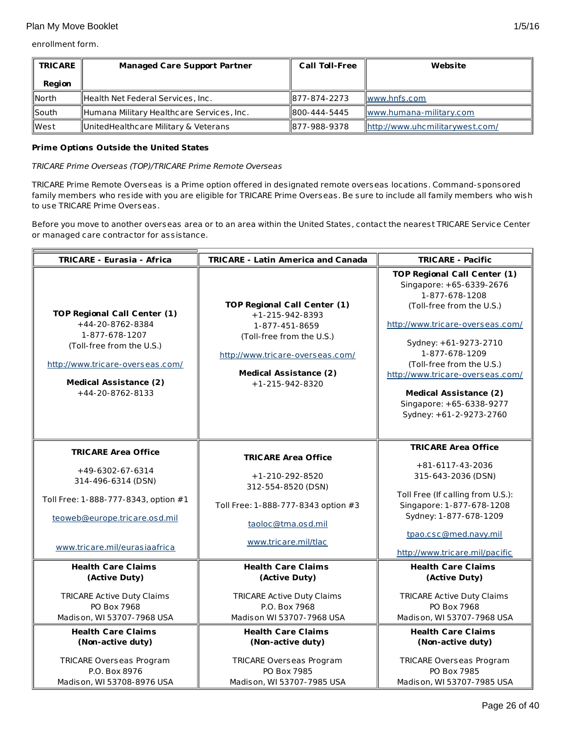enrollment form.

| <b>TRICARE</b> | <b>Managed Care Support Partner</b>       | <b>Call Toll-Free</b> | Website                         |  |
|----------------|-------------------------------------------|-----------------------|---------------------------------|--|
| Region         |                                           |                       |                                 |  |
| lNorth         | Health Net Federal Services, Inc.         | 1877-874-2273         | $\ www.hnfs.com\ $              |  |
| llSouth        | Humana Military Healthcare Services, Inc. | 1800-444-5445         | www.humana-military.com         |  |
| lWest          | UnitedHealthcare Military & Veterans      | 1877-988-9378         | http://www.uhcmilitarywest.com/ |  |

## **Prime Options Outside the United States**

TRICARE Prime Overseas (TOP)/TRICARE Prime Remote Overseas

TRICARE Prime Remote Overseas is a Prime option offered in designated remote overseas locations. Command-sponsored family members who reside with you are eligible for TRICARE Prime Overseas. Be sure to include all family members who wish to use TRICARE Prime Overseas.

Before you move to another overseas area or to an area within the United States, contact the nearest TRICARE Service Center or managed care contractor for assistance.

| <b>TRICARE - Eurasia - Africa</b><br><b>TRICARE - Latin America and Canada</b>                                                         |                                                                                                                                     | <b>TRICARE - Pacific</b>                                                                                                                                                                         |
|----------------------------------------------------------------------------------------------------------------------------------------|-------------------------------------------------------------------------------------------------------------------------------------|--------------------------------------------------------------------------------------------------------------------------------------------------------------------------------------------------|
| <b>TOP Regional Call Center (1)</b><br>+44-20-8762-8384                                                                                | <b>TOP Regional Call Center (1)</b><br>$+1-215-942-8393$                                                                            | <b>TOP Regional Call Center (1)</b><br>Singapore: +65-6339-2676<br>1-877-678-1208<br>(Toll-free from the U.S.)<br>http://www.tricare-overseas.com/                                               |
| 1-877-678-1207<br>(Toll-free from the U.S.)<br>http://www.tricare-overseas.com/<br><b>Medical Assistance (2)</b><br>$+44-20-8762-8133$ | 1-877-451-8659<br>(Toll-free from the U.S.)<br>http://www.tricare-overseas.com/<br><b>Medical Assistance (2)</b><br>+1-215-942-8320 | Sydney: +61-9273-2710<br>1-877-678-1209<br>(Toll-free from the U.S.)<br>http://www.tricare-overseas.com/<br><b>Medical Assistance (2)</b><br>Singapore: +65-6338-9277<br>Sydney: +61-2-9273-2760 |
|                                                                                                                                        |                                                                                                                                     | <b>TRICARE Area Office</b>                                                                                                                                                                       |
| <b>TRICARE Area Office</b>                                                                                                             | <b>TRICARE Area Office</b>                                                                                                          |                                                                                                                                                                                                  |
| +49-6302-67-6314<br>314-496-6314 (DSN)                                                                                                 | $+1-210-292-8520$<br>312-554-8520 (DSN)                                                                                             | +81-6117-43-2036<br>315-643-2036 (DSN)                                                                                                                                                           |
| Toll Free: 1-888-777-8343, option #1                                                                                                   | Toll Free: 1-888-777-8343 option #3                                                                                                 | Toll Free (If calling from U.S.):<br>Singapore: 1-877-678-1208                                                                                                                                   |
| teoweb@europe.tricare.osd.mil                                                                                                          | taoloc@tma.osd.mil                                                                                                                  | Sydney: 1-877-678-1209                                                                                                                                                                           |
| www.tricare.mil/eurasiaafrica                                                                                                          | www.tricare.mil/tlac                                                                                                                | tpao.csc@med.navy.mil<br>http://www.tricare.mil/pacific                                                                                                                                          |
| <b>Health Care Claims</b><br>(Active Duty)                                                                                             | <b>Health Care Claims</b><br>(Active Duty)                                                                                          | <b>Health Care Claims</b><br>(Active Duty)                                                                                                                                                       |
| <b>TRICARE Active Duty Claims</b><br>PO Box 7968<br>Madison, WI 53707-7968 USA                                                         | <b>TRICARE Active Duty Claims</b><br>P.O. Box 7968<br>Madison WI 53707-7968 USA                                                     | <b>TRICARE Active Duty Claims</b><br>PO Box 7968<br>Madison, WI 53707-7968 USA                                                                                                                   |
| <b>Health Care Claims</b><br>(Non-active duty)                                                                                         | <b>Health Care Claims</b><br>(Non-active duty)                                                                                      | <b>Health Care Claims</b><br>(Non-active duty)                                                                                                                                                   |
| <b>TRICARE Overseas Program</b><br>P.O. Box 8976<br>Madison, WI 53708-8976 USA                                                         | <b>TRICARE Overseas Program</b><br>PO Box 7985<br>Madison, WI 53707-7985 USA                                                        | <b>TRICARE Overseas Program</b><br>PO Box 7985<br>Madison, WI 53707-7985 USA                                                                                                                     |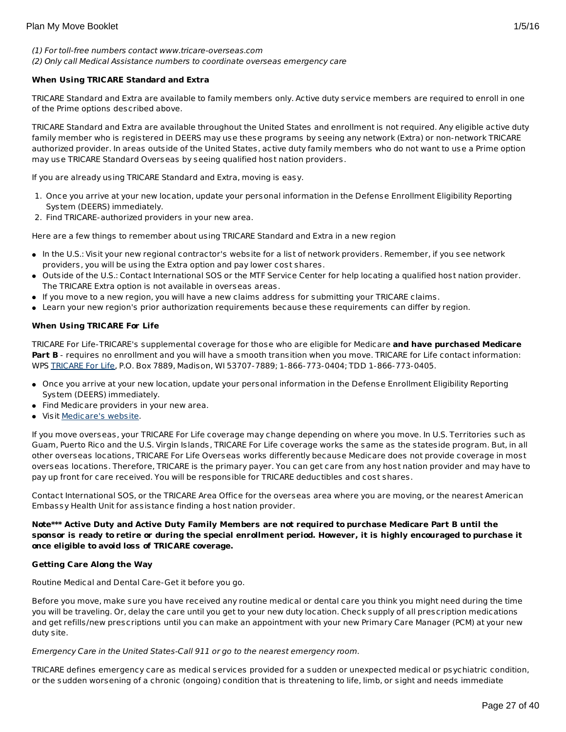## (1) For toll-free numbers contact www.tricare-overseas.com (2) Only call Medical Assistance numbers to coordinate overseas emergency care

## **When Using TRICARE Standard and Extra**

TRICARE Standard and Extra are available to family members only. Active duty service members are required to enroll in one of the Prime options described above.

TRICARE Standard and Extra are available throughout the United States and enrollment is not required. Any eligible active duty family member who is registered in DEERS may use these programs by seeing any network (Extra) or non-network TRICARE authorized provider. In areas outside of the United States, active duty family members who do not want to use a Prime option may use TRICARE Standard Overseas by seeing qualified host nation providers.

If you are already using TRICARE Standard and Extra, moving is easy.

- 1. Once you arrive at your new location, update your personal information in the Defense Enrollment Eligibility Reporting System (DEERS) immediately.
- 2. Find TRICARE-authorized providers in your new area.

Here are a few things to remember about using TRICARE Standard and Extra in a new region

- In the U.S.: Visit your new regional contractor's website for a list of network providers. Remember, if you see network providers, you will be using the Extra option and pay lower cost shares.
- Outside of the U.S.: Contact International SOS or the MTF Service Center for help locating a qualified host nation provider. The TRICARE Extra option is not available in overseas areas.
- If you move to a new region, you will have a new claims address for submitting your TRICARE claims.
- Learn your new region's prior authorization requirements because these requirements can differ by region.

## **When Using TRICARE For Life**

TRICARE For Life-TRICARE's supplemental coverage for those who are eligible for Medicare **and have purchased Medicare** Part B - requires no enrollment and you will have a smooth transition when you move. TRICARE for Life contact information: WPS [TRICARE](https://www.tricare4u.com/apps-portal/tricareapps-app/static/) For Life, P.O. Box 7889, Madison, WI 53707-7889; 1-866-773-0404; TDD 1-866-773-0405.

- Once you arrive at your new location, update your personal information in the Defense Enrollment Eligibility Reporting System (DEERS) immediately.
- Find Medicare providers in your new area.
- Visit [Medicare's](http://www.medicare.gov/) website.

If you move overseas, your TRICARE For Life coverage may change depending on where you move. In U.S. Territories such as Guam, Puerto Rico and the U.S. Virgin Islands, TRICARE For Life coverage works the same as the stateside program. But, in all other overseas locations, TRICARE For Life Overseas works differently because Medicare does not provide coverage in most overseas locations. Therefore, TRICARE is the primary payer. You can get care from any host nation provider and may have to pay up front for care received. You will be responsible for TRICARE deductibles and cost shares.

Contact International SOS, or the TRICARE Area Office for the overseas area where you are moving, or the nearest American Embassy Health Unit for assistance finding a host nation provider.

## Note\*\*\* Active Duty and Active Duty Family Members are not required to purchase Medicare Part B until the sponsor is ready to retire or during the special enrollment period. However, it is highly encouraged to purchase it **once eligible to avoid loss of TRICARE coverage.**

## **Getting Care Along the Way**

Routine Medical and Dental Care-Get it before you go.

Before you move, make sure you have received any routine medical or dental care you think you might need during the time you will be traveling. Or, delay the care until you get to your new duty location. Check supply of all prescription medications and get refills/new prescriptions until you can make an appointment with your new Primary Care Manager (PCM) at your new duty site.

## Emergency Care in the United States-Call 911 or go to the nearest emergency room.

TRICARE defines emergency care as medical services provided for a sudden or unexpected medical or psychiatric condition, or the sudden worsening of a chronic (ongoing) condition that is threatening to life, limb, or sight and needs immediate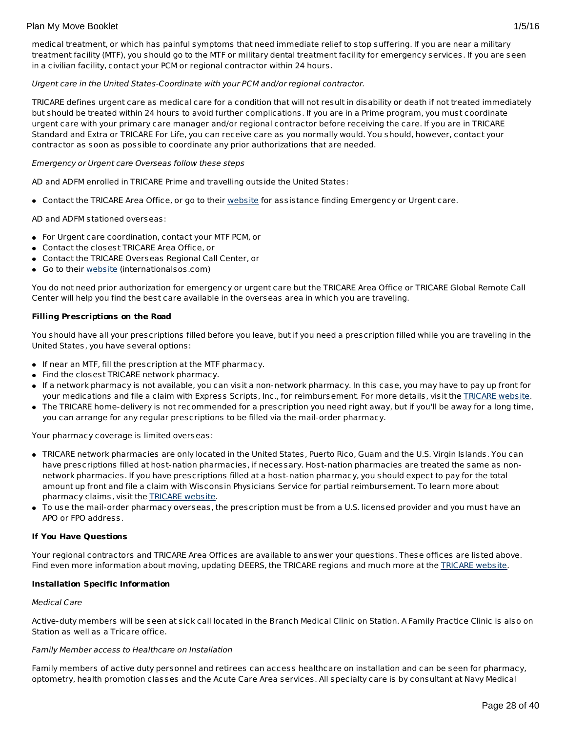medical treatment, or which has painful symptoms that need immediate relief to stop suffering. If you are near a military treatment facility (MTF), you should go to the MTF or military dental treatment facility for emergency services. If you are seen in a civilian facility, contact your PCM or regional contractor within 24 hours.

## Urgent care in the United States-Coordinate with your PCM and/or regional contractor.

TRICARE defines urgent care as medical care for a condition that will not result in disability or death if not treated immediately but should be treated within 24 hours to avoid further complications. If you are in a Prime program, you must coordinate urgent care with your primary care manager and/or regional contractor before receiving the care. If you are in TRICARE Standard and Extra or TRICARE For Life, you can receive care as you normally would. You should, however, contact your contractor as soon as possible to coordinate any prior authorizations that are needed.

## Emergency or Urgent care Overseas follow these steps

AD and ADFM enrolled in TRICARE Prime and travelling outside the United States:

Contact the TRICARE Area Office, or go to their [website](http://www.internationalsos.com/en/) for assistance finding Emergency or Urgent care.

AD and ADFM stationed overseas:

- For Urgent care coordination, contact your MTF PCM, or
- Contact the closest TRICARE Area Office, or
- Contact the TRICARE Overseas Regional Call Center, or
- Go to their [website](http://www.internationalsos.com/en/) (internationalsos.com)

You do not need prior authorization for emergency or urgent care but the TRICARE Area Office or TRICARE Global Remote Call Center will help you find the best care available in the overseas area in which you are traveling.

## **Filling Prescriptions on the Road**

You should have all your prescriptions filled before you leave, but if you need a prescription filled while you are traveling in the United States, you have several options:

- If near an MTF, fill the prescription at the MTF pharmacy.
- Find the closest TRICARE network pharmacy.
- If a network pharmacy is not available, you can visit a non-network pharmacy. In this case, you may have to pay up front for your medications and file a claim with Express Scripts, Inc., for reimbursement. For more details, visit the [TRICARE](http://www.tricare.mil/) website.
- The TRICARE home-delivery is not recommended for a prescription you need right away, but if you'll be away for a long time, you can arrange for any regular prescriptions to be filled via the mail-order pharmacy.

Your pharmacy coverage is limited overseas:

- TRICARE network pharmacies are only located in the United States, Puerto Rico, Guam and the U.S. Virgin Islands. You can have prescriptions filled at host-nation pharmacies, if necessary. Host-nation pharmacies are treated the same as nonnetwork pharmacies. If you have prescriptions filled at a host-nation pharmacy, you should expect to pay for the total amount up front and file a claim with Wisconsin Physicians Service for partial reimbursement. To learn more about pharmacy claims, visit the [TRICARE](http://www.tricare.mil/) website.
- To use the mail-order pharmacy overseas, the prescription must be from a U.S. licensed provider and you must have an APO or FPO address.

## **If You Have Questions**

Your regional contractors and TRICARE Area Offices are available to answer your questions. These offices are listed above. Find even more information about moving, updating DEERS, the TRICARE regions and much more at the [TRICARE](http://www.tricare.mil/) website.

## **Installation Specific Information**

## Medical Care

Active-duty members will be seen at sick call located in the Branch Medical Clinic on Station. A Family Practice Clinic is also on Station as well as a Tricare office.

## Family Member access to Healthcare on Installation

Family members of active duty personnel and retirees can access healthcare on installation and can be seen for pharmacy, optometry, health promotion classes and the Acute Care Area services. All specialty care is by consultant at Navy Medical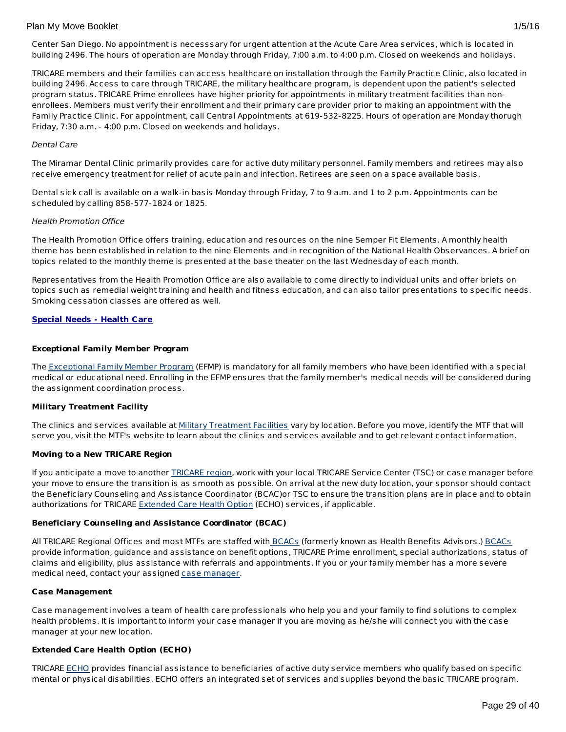Center San Diego. No appointment is necesssary for urgent attention at the Acute Care Area services, which is located in building 2496. The hours of operation are Monday through Friday, 7:00 a.m. to 4:00 p.m. Closed on weekends and holidays.

TRICARE members and their families can access healthcare on installation through the Family Practice Clinic, also located in building 2496. Access to care through TRICARE, the military healthcare program, is dependent upon the patient's selected program status. TRICARE Prime enrollees have higher priority for appointments in military treatment facilities than nonenrollees. Members must verify their enrollment and their primary care provider prior to making an appointment with the Family Practice Clinic. For appointment, call Central Appointments at 619-532-8225. Hours of operation are Monday thorugh Friday, 7:30 a.m. - 4:00 p.m. Closed on weekends and holidays.

## Dental Care

The Miramar Dental Clinic primarily provides care for active duty military personnel. Family members and retirees may also receive emergency treatment for relief of acute pain and infection. Retirees are seen on a space available basis.

Dental sick call is available on a walk-in basis Monday through Friday, 7 to 9 a.m. and 1 to 2 p.m. Appointments can be scheduled by calling 858-577-1824 or 1825.

## Health Promotion Office

The Health Promotion Office offers training, education and resources on the nine Semper Fit Elements. A monthly health theme has been established in relation to the nine Elements and in recognition of the National Health Observances. A brief on topics related to the monthly theme is presented at the base theater on the last Wednesday of each month.

Representatives from the Health Promotion Office are also available to come directly to individual units and offer briefs on topics such as remedial weight training and health and fitness education, and can also tailor presentations to specific needs. Smoking cessation classes are offered as well.

## **Special Needs - Health Care**

## **Exceptional Family Member Program**

The [Exceptional](http://www.militaryhomefront.dod.mil/MOS/f?p=MHF:HOME1:0::::SID:20.40.500.570.0.0.0.0.0) Family Member Program (EFMP) is mandatory for all family members who have been identified with a special medical or educational need. Enrolling in the EFMP ensures that the family member's medical needs will be considered during the assignment coordination process.

## **Military Treatment Facility**

The clinics and services available at Military [Treatment](http://tricare.mil/mtf/main1.aspx) Facilities vary by location. Before you move, identify the MTF that will serve you, visit the MTF's website to learn about the clinics and services available and to get relevant contact information.

## **Moving to a New TRICARE Region**

If you anticipate a move to another [TRICARE](http://www.tricare.mil/mhshome.aspx) region, work with your local TRICARE Service Center (TSC) or case manager before your move to ensure the transition is as smooth as possible. On arrival at the new duty location, your sponsor should contact the Beneficiary Counseling and Assistance Coordinator (BCAC)or TSC to ensure the transition plans are in place and to obtain authorizations for TRICARE [Extended](http://tricare.mil/mybenefit/ProfileFilter.do?puri=%2Fhome%2Foverview%2FSpecialPrograms%2FECHO) Care Health Option (ECHO) services, if applicable.

## **Beneficiary Counseling and Assistance Coordinator (BCAC)**

All TRICARE Regional Offices and most MTFs are staffed with [BCACs](http://www.tricare.mil/bcacdcao/) (formerly known as Health Benefits Advisors.) [BCACs](http://www.tricare.mil/bcacdcao/) provide information, guidance and assistance on benefit options, TRICARE Prime enrollment, special authorizations, status of claims and eligibility, plus assistance with referrals and appointments. If you or your family member has a more severe medical need, contact your assigned case [manager](http://www.militaryhomefront.dod.mil/tf/efmp).

## **Case Management**

Case management involves a team of health care professionals who help you and your family to find solutions to complex health problems. It is important to inform your case manager if you are moving as he/she will connect you with the case manager at your new location.

## **Extended Care Health Option (ECHO)**

TRICARE [ECHO](http://tricare.mil/mybenefit/ProfileFilter.do?puri=%2Fhome%2Foverview%2FSpecialPrograms%2FECHO) provides financial assistance to beneficiaries of active duty service members who qualify based on specific mental or physical disabilities. ECHO offers an integrated set of services and supplies beyond the basic TRICARE program.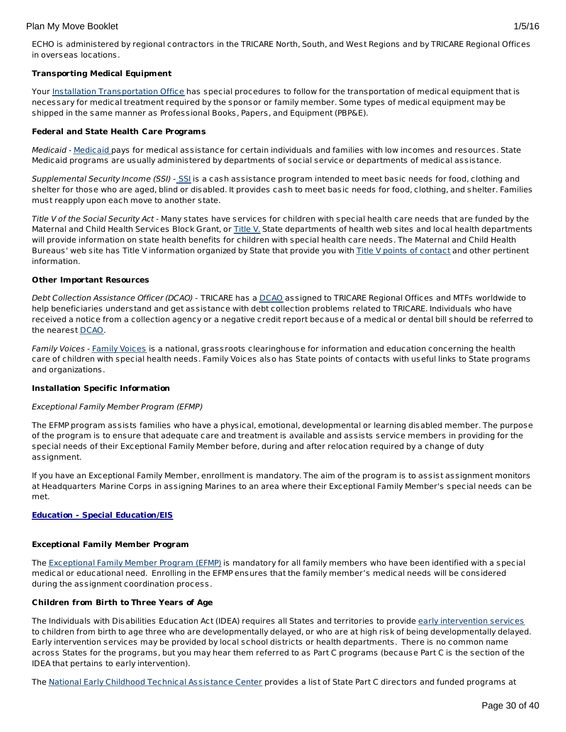## **Transporting Medical Equipment**

Your Installation [Transportation](http://www.militaryinstallations.dod.mil/) Office has special procedures to follow for the transportation of medical equipment that is necessary for medical treatment required by the sponsor or family member. Some types of medical equipment may be shipped in the same manner as Professional Books, Papers, and Equipment (PBP&E).

## **Federal and State Health Care Programs**

Medicaid - [Medicaid](http://www.militaryhomefront.dod.mil/tf/efmp/resources) pays for medical assistance for certain individuals and families with low incomes and resources. State Medicaid programs are usually administered by departments of social service or departments of medical assistance.

Supplemental Security Income ([SSI](http://www.socialsecurity.gov/pgm/ssi.htm)) - SSI is a cash assistance program intended to meet basic needs for food, clothing and shelter for those who are aged, blind or disabled. It provides cash to meet basic needs for food, clothing, and shelter. Families must reapply upon each move to another state.

Title V of the Social Security Act - Many states have services for children with special health care needs that are funded by the Maternal and Child Health Services Block Grant, or [Title](http://www.socialsecurity.gov/OP_Home/ssact/title05/0500.htm) V. State departments of health web sites and local health departments will provide information on state health benefits for children with special health care needs. The Maternal and Child Health Bureaus' web site has Title V information organized by State that provide you with Title V points of [contact](https://perfdata.hrsa.gov/mchb/TVISReports/ContactInfo/StateContactSearch.aspx) and other pertinent information.

## **Other Important Resources**

Debt Collection Assistance Officer (DCAO) - TRICARE has a [DCAO](http://www.tricare.mil/bcacdcao/) assigned to TRICARE Regional Offices and MTFs worldwide to help beneficiaries understand and get assistance with debt collection problems related to TRICARE. Individuals who have received a notice from a collection agency or a negative credit report because of a medical or dental bill should be referred to the nearest [DCAO](http://www.tricare.mil/bcacdcao/).

Family Voices - Family [Voices](http://www.familyvoices.org) is a national, grassroots clearinghouse for information and education concerning the health care of children with special health needs. Family Voices also has State points of contacts with useful links to State programs and organizations.

## **Installation Specific Information**

## Exceptional Family Member Program (EFMP)

The EFMP program assists families who have a physical, emotional, developmental or learning disabled member. The purpose of the program is to ensure that adequate care and treatment is available and assists service members in providing for the special needs of their Exceptional Family Member before, during and after relocation required by a change of duty assignment.

If you have an Exceptional Family Member, enrollment is mandatory. The aim of the program is to assist assignment monitors at Headquarters Marine Corps in assigning Marines to an area where their Exceptional Family Member's special needs can be met.

## **Education - Special Education/EIS**

## **Exceptional Family Member Program**

The [Exceptional](http://www.militaryhomefront.dod.mil/tf/efmp) Family Member Program (EFMP) is mandatory for all family members who have been identified with a special medical or educational need. Enrolling in the EFMP ensures that the family member's medical needs will be considered during the assignment coordination process.

## **Children from Birth to Three Years of Age**

The Individuals with Disabilities Education Act (IDEA) requires all States and territories to provide early [intervention](http://www.militaryhomefront.dod.mil/tf/efmp) services to children from birth to age three who are developmentally delayed, or who are at high risk of being developmentally delayed. Early intervention services may be provided by local school districts or health departments. There is no common name across States for the programs, but you may hear them referred to as Part C programs (because Part C is the section of the IDEA that pertains to early intervention).

The National Early Childhood Technical [Assistance](http://www.nectac.org/) Center provides a list of State Part C directors and funded programs at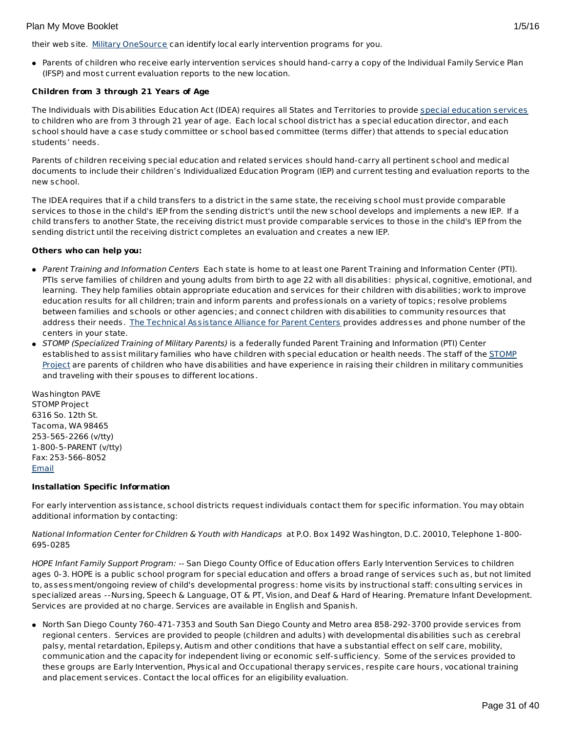their web site. Military [OneSource](http://www.militaryonesource.mil/) can identify local early intervention programs for you.

Parents of children who receive early intervention services should hand-carry a copy of the Individual Family Service Plan (IFSP) and most current evaluation reports to the new location.

## **Children from 3 through 21 Years of Age**

The Individuals with Disabilities Education Act (IDEA) requires all States and Territories to provide special [education](http://www.militaryhomefront.dod.mil/tf/efmp) services to children who are from 3 through 21 year of age. Each local school district has a special education director, and each school should have a case study committee or school based committee (terms differ) that attends to special education students' needs.

Parents of children receiving special education and related services should hand-carry all pertinent school and medical documents to include their children's Individualized Education Program (IEP) and current testing and evaluation reports to the new school.

The IDEA requires that if a child transfers to a district in the same state, the receiving school must provide comparable services to those in the child's IEP from the sending district's until the new school develops and implements a new IEP. If a child transfers to another State, the receiving district must provide comparable services to those in the child's IEP from the sending district until the receiving district completes an evaluation and creates a new IEP.

## **Others who can help you:**

- Parent Training and Information Centers Each state is home to at least one Parent Training and Information Center (PTI). PTIs serve families of children and young adults from birth to age 22 with all disabilities: physical, cognitive, emotional, and learning. They help families obtain appropriate education and services for their children with disabilities; work to improve education results for all children; train and inform parents and professionals on a variety of topics; resolve problems between families and schools or other agencies; and connect children with disabilities to community resources that address their needs. The Technical [Assistance](http://www.taalliance.org) Alliance for Parent Centers provides addresses and phone number of the centers in your state.
- STOMP (Specialized Training of Military Parents) is a federally funded Parent Training and Information (PTI) Center [established](http://www.stompproject.org/) to assist military families who have children with special education or health needs. The staff of the STOMP Project are parents of children who have disabilities and have experience in raising their children in military communities and traveling with their spouses to different locations.

Washington PAVE STOMP Project 6316 So. 12th St. Tacoma, WA 98465 253-565-2266 (v/tty) 1-800-5-PARENT (v/tty) Fax: 253-566-8052 [Email](http://apps.militaryonesource.mil/MOS/f?p=108:5:0::NO::P5_APP_NAME,P5_MSG_TYPE,P5_EID:STOMP Project,Consultant,1000001266)

## **Installation Specific Information**

For early intervention assistance, school districts request individuals contact them for specific information. You may obtain additional information by contacting:

## National Information Center for Children & Youth with Handicaps at P.O. Box 1492 Washington, D.C. 20010, Telephone 1-800- 695-0285

HOPE Infant Family Support Program: -- San Diego County Office of Education offers Early Intervention Services to children ages 0-3. HOPE is a public school program for special education and offers a broad range of services such as, but not limited to, assessment/ongoing review of child's developmental progress: home visits by instructional staff: consulting services in specialized areas --Nursing, Speech & Language, OT & PT, Vision, and Deaf & Hard of Hearing. Premature Infant Development. Services are provided at no charge. Services are available in English and Spanish.

North San Diego County 760-471-7353 and South San Diego County and Metro area 858-292-3700 provide services from regional centers. Services are provided to people (children and adults) with developmental disabilities such as cerebral palsy, mental retardation, Epilepsy, Autism and other conditions that have a substantial effect on self care, mobility, communication and the capacity for independent living or economic self-sufficiency. Some of the services provided to these groups are Early Intervention, Physical and Occupational therapy services, respite care hours, vocational training and placement services. Contact the local offices for an eligibility evaluation.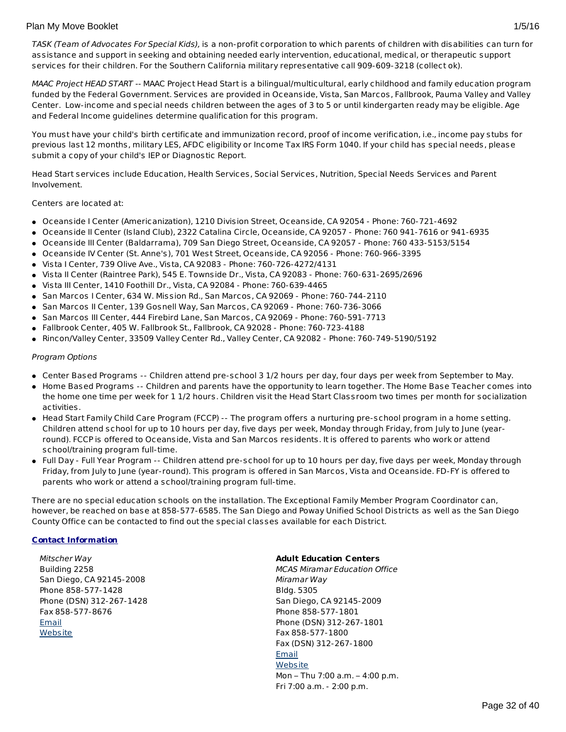TASK (Team of Advocates For Special Kids), is a non-profit corporation to which parents of children with disabilities can turn for assistance and support in seeking and obtaining needed early intervention, educational, medical, or therapeutic support services for their children. For the Southern California military representative call 909-609-3218 (collect ok).

MAAC Project HEAD START -- MAAC Project Head Start is a bilingual/multicultural, early childhood and family education program funded by the Federal Government. Services are provided in Oceanside, Vista, San Marcos, Fallbrook, Pauma Valley and Valley Center. Low-income and special needs children between the ages of 3 to 5 or until kindergarten ready may be eligible. Age and Federal Income guidelines determine qualification for this program.

You must have your child's birth certificate and immunization record, proof of income verification, i.e., income pay stubs for previous last 12 months, military LES, AFDC eligibility or Income Tax IRS Form 1040. If your child has special needs, please submit a copy of your child's IEP or Diagnostic Report.

Head Start services include Education, Health Services, Social Services, Nutrition, Special Needs Services and Parent Involvement.

Centers are located at:

- Oceanside I Center (Americanization), 1210 Division Street, Oceanside, CA 92054 Phone: 760-721-4692
- Oceanside II Center (Island Club), 2322 Catalina Circle, Oceanside, CA 92057 Phone: 760 941-7616 or 941-6935
- Oceanside III Center (Baldarrama), 709 San Diego Street, Oceanside, CA 92057 Phone: 760 433-5153/5154
- Oceanside IV Center (St. Anne's), 701 West Street, Oceanside, CA 92056 Phone: 760-966-3395
- Vista I Center, 739 Olive Ave., Vista, CA 92083 Phone: 760-726-4272/4131
- Vista II Center (Raintree Park), 545 E. Townside Dr., Vista, CA 92083 Phone: 760-631-2695/2696
- Vista III Center, 1410 Foothill Dr., Vista, CA 92084 Phone: 760-639-4465
- San Marcos I Center, 634 W. Mission Rd., San Marcos, CA 92069 Phone: 760-744-2110
- $\bullet~$  San Marcos II Center, 139 Gosnell Way, San Marcos, CA 92069 Phone: 760-736-3066
- San Marcos III Center, 444 Firebird Lane, San Marcos, CA 92069 Phone: 760-591-7713
- Fallbrook Center, 405 W. Fallbrook St., Fallbrook, CA 92028 Phone: 760-723-4188
- Rincon/Valley Center, 33509 Valley Center Rd., Valley Center, CA 92082 Phone: 760-749-5190/5192

#### Program Options

- Center Based Programs -- Children attend pre-school 3 1/2 hours per day, four days per week from September to May.
- Home Based Programs -- Children and parents have the opportunity to learn together. The Home Base Teacher comes into the home one time per week for 1 1/2 hours. Children visit the Head Start Classroom two times per month for socialization activities.
- Head Start Family Child Care Program (FCCP) -- The program offers a nurturing pre-school program in a home setting. Children attend school for up to 10 hours per day, five days per week, Monday through Friday, from July to June (yearround). FCCP is offered to Oceanside, Vista and San Marcos residents. It is offered to parents who work or attend school/training program full-time.
- Full Day Full Year Program -- Children attend pre-school for up to 10 hours per day, five days per week, Monday through Friday, from July to June (year-round). This program is offered in San Marcos, Vista and Oceanside. FD-FY is offered to parents who work or attend a school/training program full-time.

There are no special education schools on the installation. The Exceptional Family Member Program Coordinator can, however, be reached on base at 858-577-6585. The San Diego and Poway Unified School Districts as well as the San Diego County Office can be contacted to find out the special classes available for each District.

## **Contact Information**

Mitscher Way Building 2258 San Diego, CA 92145-2008 Phone 858-577-1428 Phone (DSN) 312-267-1428 Fax 858-577-8676 [Email](http://apps.militaryonesource.mil/MOS/f?p=AMS:5:0::::P5_APP_NAME,P5_MSG_TYPE,P5_EID:Plan My Move,Installation Address,87094) **[Website](http://www.mccsmiramar.com/)** 

#### **Adult Education Centers**

MCAS Miramar Education Office Miramar Way Bldg. 5305 San Diego, CA 92145-2009 Phone 858-577-1801 Phone (DSN) 312-267-1801 Fax 858-577-1800 Fax (DSN) 312-267-1800 [Email](http://apps.militaryonesource.mil/MOS/f?p=AMS:5:0::::P5_APP_NAME,P5_MSG_TYPE,P5_EID:Plan My Move,MCAS Miramar Education Office,117976) **[Website](http://www.mccsmiramar.com)** Mon – Thu 7:00 a.m. – 4:00 p.m. Fri 7:00 a.m. - 2:00 p.m.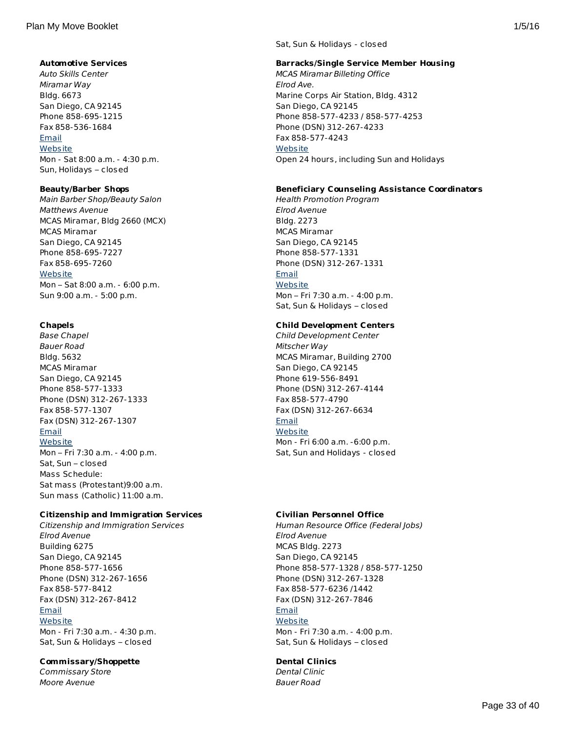## **Automotive Services**

Auto Skills Center Miramar Way Bldg. 6673 San Diego, CA 92145 Phone 858-695-1215 Fax 858-536-1684 **[Email](http://apps.militaryonesource.mil/MOS/f?p=AMS:5:0::::P5_APP_NAME,P5_MSG_TYPE,P5_EID:Plan My Move,Auto Skills Center,117922) [Website](http://mccsmiramar.com/autoskills.html)** Mon - Sat 8:00 a.m. - 4:30 p.m. Sun, Holidays – closed

## **Beauty/Barber Shops**

Main Barber Shop/Beauty Salon Matthews Avenue MCAS Miramar, Bldg 2660 (MCX) MCAS Miramar San Diego, CA 92145 Phone 858-695-7227 Fax 858-695-7260 **[Website](http://www.mccsmiramar.com)** Mon – Sat 8:00 a.m. - 6:00 p.m.

# **Chapels**

Base Chapel Bauer Road Bldg. 5632 MCAS Miramar San Diego, CA 92145 Phone 858-577-1333 Phone (DSN) 312-267-1333 Fax 858-577-1307 Fax (DSN) 312-267-1307 [Email](http://apps.militaryonesource.mil/MOS/f?p=AMS:5:0::::P5_APP_NAME,P5_MSG_TYPE,P5_EID:Plan My Move,Base Chapel,117969)

Sun 9:00 a.m. - 5:00 p.m.

**[Website](http://www.miramar.marines.mil/Departments/Chapel.aspx)** Mon – Fri 7:30 a.m. - 4:00 p.m. Sat, Sun – closed Mass Schedule: Sat mass (Protestant)9:00 a.m. Sun mass (Catholic) 11:00 a.m.

## **Citizenship and Immigration Services**

Citizenship and Immigration Services Elrod Avenue Building 6275 San Diego, CA 92145 Phone 858-577-1656 Phone (DSN) 312-267-1656 Fax 858-577-8412 Fax (DSN) 312-267-8412 [Email](http://apps.militaryonesource.mil/MOS/f?p=AMS:5:0::::P5_APP_NAME,P5_MSG_TYPE,P5_EID:Plan My Move,Citizenship and Immigration Services,203973) [Website](#page-19-0) Mon - Fri 7:30 a.m. - 4:30 p.m. Sat, Sun & Holidays – closed

## **Commissary/Shoppette**

Commissary Store Moore Avenue

Sat, Sun & Holidays - closed

## **Barracks/Single Service Member Housing**

MCAS Miramar Billeting Office Elrod Ave. Marine Corps Air Station, Bldg. 4312 San Diego, CA 92145 Phone 858-577-4233 / 858-577-4253 Phone (DSN) 312-267-4233 Fax 858-577-4243 **[Website](http://apps.militaryonesource.mil/MOS/ http://www.miramar.usmc.mil/billeting.asp)** Open 24 hours, including Sun and Holidays

## **Beneficiary Counseling Assistance Coordinators**

Health Promotion Program Elrod Avenue Bldg. 2273 MCAS Miramar San Diego, CA 92145 Phone 858-577-1331 Phone (DSN) 312-267-1331 [Email](http://apps.militaryonesource.mil/MOS/f?p=AMS:5:0::::P5_APP_NAME,P5_MSG_TYPE,P5_EID:Plan My Move,Health Promotion Program,118170) **[Website](http://www.mccsmiramar.com/fitness/)** Mon – Fri 7:30 a.m. - 4:00 p.m. Sat, Sun & Holidays – closed

## **Child Development Centers**

Child Development Center Mitscher Way MCAS Miramar, Building 2700 San Diego, CA 92145 Phone 619-556-8491 Phone (DSN) 312-267-4144 Fax 858-577-4790 Fax (DSN) 312-267-6634 **[Email](http://apps.militaryonesource.mil/MOS/f?p=AMS:5:0::::P5_APP_NAME,P5_MSG_TYPE,P5_EID:Plan My Move,Child Development Center,118195) [Website](http://www.mccsmiramar.com)** Mon - Fri 6:00 a.m. -6:00 p.m. Sat, Sun and Holidays - closed

## **Civilian Personnel Office**

Human Resource Office (Federal Jobs) Elrod Avenue MCAS Bldg. 2273 San Diego, CA 92145 Phone 858-577-1328 / 858-577-1250 Phone (DSN) 312-267-1328 Fax 858-577-6236 /1442 Fax (DSN) 312-267-7846 [Email](http://apps.militaryonesource.mil/MOS/f?p=AMS:5:0::::P5_APP_NAME,P5_MSG_TYPE,P5_EID:Plan My Move,Human Resource Office (Federal Jobs),179181) [Website](#page-19-0) Mon - Fri 7:30 a.m. - 4:00 p.m. Sat, Sun & Holidays – closed

# **Dental Clinics**

Dental Clinic Bauer Road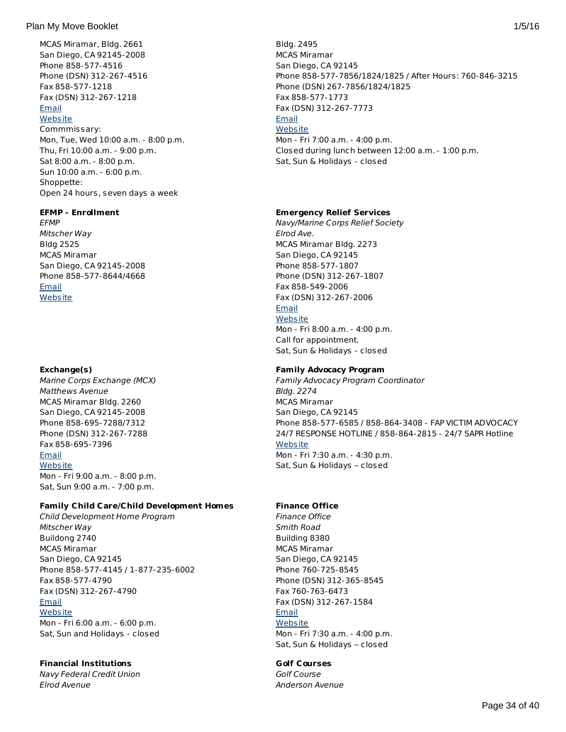#### Plan My Move Booklet 2012 1/5/16

MCAS Miramar, Bldg. 2661 San Diego, CA 92145-2008 Phone 858-577-4516 Phone (DSN) 312-267-4516 Fax 858-577-1218 Fax (DSN) 312-267-1218 [Email](http://apps.militaryonesource.mil/MOS/f?p=AMS:5:0::::P5_APP_NAME,P5_MSG_TYPE,P5_EID:Plan My Move,Commissary Store,117905) **[Website](http://www.commissaries.com/)** Commmissary: Mon, Tue, Wed 10:00 a.m. - 8:00 p.m. Thu, Fri 10:00 a.m. - 9:00 p.m. Sat 8:00 a.m. - 8:00 p.m. Sun 10:00 a.m. - 6:00 p.m. Shoppette: Open 24 hours, seven days a week

#### **EFMP - Enrollment**

**FFMP** Mitscher Way Bldg 2525 MCAS Miramar San Diego, CA 92145-2008 Phone 858-577-8644/4668 [Email](http://apps.militaryonesource.mil/MOS/f?p=AMS:5:0::::P5_APP_NAME,P5_MSG_TYPE,P5_EID:Plan My Move,EFMP,1000007487) **[Website](http://www.mccsmiramar.com/)** 

## **Exchange(s)**

Marine Corps Exchange (MCX) Matthews Avenue MCAS Miramar Bldg. 2260 San Diego, CA 92145-2008 Phone 858-695-7288/7312 Phone (DSN) 312-267-7288 Fax 858-695-7396 [Email](http://apps.militaryonesource.mil/MOS/f?p=AMS:5:0::::P5_APP_NAME,P5_MSG_TYPE,P5_EID:Plan My Move,Marine Corps Exchange (MCX),117907) **[Website](#page-19-0)** Mon - Fri 9:00 a.m. - 8:00 p.m. Sat, Sun 9:00 a.m. - 7:00 p.m.

## **Family Child Care/Child Development Homes**

Child Development Home Program Mitscher Way Buildong 2740 MCAS Miramar San Diego, CA 92145 Phone 858-577-4145 / 1-877-235-6002 Fax 858-577-4790 Fax (DSN) 312-267-4790 [Email](http://apps.militaryonesource.mil/MOS/f?p=AMS:5:0::::P5_APP_NAME,P5_MSG_TYPE,P5_EID:Plan My Move,Child Development Home Program,118198) **[Website](http://www.mccsmiramar.com)** Mon - Fri 6:00 a.m. - 6:00 p.m. Sat, Sun and Holidays - closed

## **Financial Institutions**

Navy Federal Credit Union Elrod Avenue

Bldg. 2495 MCAS Miramar San Diego, CA 92145 Phone 858-577-7856/1824/1825 / After Hours: 760-846-3215 Phone (DSN) 267-7856/1824/1825 Fax 858-577-1773 Fax (DSN) 312-267-7773 [Email](http://apps.militaryonesource.mil/MOS/f?p=AMS:5:0::::P5_APP_NAME,P5_MSG_TYPE,P5_EID:Plan My Move,Dental Clinic,176770) **[Website](http://www.miramar.marines.mil/Departments/DentalClinic.aspx)** Mon - Fri 7:00 a.m. - 4:00 p.m. Closed during lunch between 12:00 a.m. - 1:00 p.m. Sat, Sun & Holidays - closed

## **Emergency Relief Services**

Navy/Marine Corps Relief Society Elrod Ave. MCAS Miramar Bldg. 2273 San Diego, CA 92145 Phone 858-577-1807 Phone (DSN) 312-267-1807 Fax 858-549-2006 Fax (DSN) 312-267-2006 [Email](http://apps.militaryonesource.mil/MOS/f?p=AMS:5:0::::P5_APP_NAME,P5_MSG_TYPE,P5_EID:Plan My Move,Navy/Marine Corps Relief Society,118156) **[Website](http://www.nmcrs.org/)** Mon - Fri 8:00 a.m. - 4:00 p.m.

Call for appointment. Sat, Sun & Holidays - closed

## **Family Advocacy Program**

Family Advocacy Program Coordinator Bldg. 2274 MCAS Miramar San Diego, CA 92145 Phone 858-577-6585 / 858-864-3408 - FAP VICTIM ADVOCACY 24/7 RESPONSE HOTLINE / 858-864-2815 - 24/7 SAPR Hotline **[Website](http://www.mccsmiramar.com/family_advocacy.html)** Mon - Fri 7:30 a.m. - 4:30 p.m. Sat, Sun & Holidays – closed

## **Finance Office**

Finance Office Smith Road Building 8380 MCAS Miramar San Diego, CA 92145 Phone 760-725-8545 Phone (DSN) 312-365-8545 Fax 760-763-6473 Fax (DSN) 312-267-1584

#### [Email](http://apps.militaryonesource.mil/MOS/f?p=AMS:5:0::::P5_APP_NAME,P5_MSG_TYPE,P5_EID:Plan My Move,Finance Office,200759) **[Website](http://www.mccsmiramar.com)**

Mon - Fri 7:30 a.m. - 4:00 p.m. Sat, Sun & Holidays – closed

## **Golf Courses**

Golf Course Anderson Avenue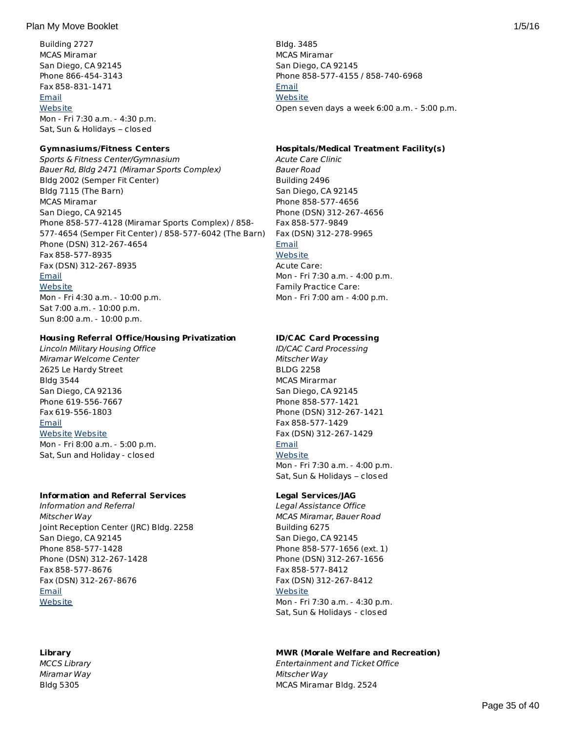Building 2727 MCAS Miramar San Diego, CA 92145 Phone 866-454-3143 Fax 858-831-1471 [Email](http://apps.militaryonesource.mil/MOS/f?p=AMS:5:0::::P5_APP_NAME,P5_MSG_TYPE,P5_EID:Plan My Move,Navy Federal Credit Union,200395) **[Website](http://www.navyfcu.org)** Mon - Fri 7:30 a.m. - 4:30 p.m. Sat, Sun & Holidays – closed

## **Gymnasiums/Fitness Centers**

Sports & Fitness Center/Gymnasium Bauer Rd, Bldg 2471 (Miramar Sports Complex) Bldg 2002 (Semper Fit Center) Bldg 7115 (The Barn) MCAS Miramar San Diego, CA 92145 Phone 858-577-4128 (Miramar Sports Complex) / 858- 577-4654 (Semper Fit Center) / 858-577-6042 (The Barn) Phone (DSN) 312-267-4654 Fax 858-577-8935 Fax (DSN) 312-267-8935 [Email](http://apps.militaryonesource.mil/MOS/f?p=AMS:5:0::::P5_APP_NAME,P5_MSG_TYPE,P5_EID:Plan My Move,Sports   Fitness Center/Gymnasium,118182) **[Website](http://www.mccsmiramar.com)** Mon - Fri 4:30 a.m. - 10:00 p.m. Sat 7:00 a.m. - 10:00 p.m.

## **Housing Referral Office/Housing Privatization**

Lincoln Military Housing Office Miramar Welcome Center 2625 Le Hardy Street Bldg 3544 San Diego, CA 92136 Phone 619-556-7667 Fax 619-556-1803 [Email](http://apps.militaryonesource.mil/MOS/f?p=AMS:5:0::::P5_APP_NAME,P5_MSG_TYPE,P5_EID:Plan My Move,Lincoln Military Housing Office,118055) [Website](http://lincolnmilitary.com/installations/san-diego-naval-complex/) [Website](http://www.cnic.navy.mil/ffr/housing.html/) Mon - Fri 8:00 a.m. - 5:00 p.m. Sat, Sun and Holiday - closed

Sun 8:00 a.m. - 10:00 p.m.

## **Information and Referral Services**

Information and Referral Mitscher Way Joint Reception Center (JRC) Bldg. 2258 San Diego, CA 92145 Phone 858-577-1428 Phone (DSN) 312-267-1428 Fax 858-577-8676 Fax (DSN) 312-267-8676 [Email](http://apps.militaryonesource.mil/MOS/f?p=AMS:5:0::::P5_APP_NAME,P5_MSG_TYPE,P5_EID:Plan My Move,Information and Referral,1000010278) **[Website](http://mccsmiramar.com/info_referral.html)** 

## **Library**

MCCS Library Miramar Way Bldg 5305

Bldg. 3485 MCAS Miramar San Diego, CA 92145 Phone 858-577-4155 / 858-740-6968 [Email](http://apps.militaryonesource.mil/MOS/f?p=AMS:5:0::::P5_APP_NAME,P5_MSG_TYPE,P5_EID:Plan My Move,Golf Course,118185) **[Website](http://www.mccsmiramar.com/golfcourse.html)** Open seven days a week 6:00 a.m. - 5:00 p.m.

## **Hospitals/Medical Treatment Facility(s)**

Acute Care Clinic Bauer Road Building 2496 San Diego, CA 92145 Phone 858-577-4656 Phone (DSN) 312-267-4656 Fax 858-577-9849 Fax (DSN) 312-278-9965 [Email](http://apps.militaryonesource.mil/MOS/f?p=AMS:5:0::::P5_APP_NAME,P5_MSG_TYPE,P5_EID:Plan My Move,Acute Care Clinic,179500) **[Website](http://www.mccsmiramar.com)** Acute Care: Mon - Fri 7:30 a.m. - 4:00 p.m. Family Practice Care: Mon - Fri 7:00 am - 4:00 p.m.

## **ID/CAC Card Processing**

ID/CAC Card Processing Mitscher Way BLDG 2258 MCAS Mirarmar San Diego, CA 92145 Phone 858-577-1421 Phone (DSN) 312-267-1421 Fax 858-577-1429 Fax (DSN) 312-267-1429 [Email](http://apps.militaryonesource.mil/MOS/f?p=AMS:5:0::::P5_APP_NAME,P5_MSG_TYPE,P5_EID:Plan My Move,ID/CAC Card Processing,117855) **[Website](https://rapids-appointments.dmdc.osd.mil)** Mon - Fri 7:30 a.m. - 4:00 p.m. Sat, Sun & Holidays – closed

## **Legal Services/JAG**

Legal Assistance Office MCAS Miramar, Bauer Road Building 6275 San Diego, CA 92145 Phone 858-577-1656 (ext. 1) Phone (DSN) 312-267-1656 Fax 858-577-8412 Fax (DSN) 312-267-8412 **[Website](http://www.mccsmiramar.com)** Mon - Fri 7:30 a.m. - 4:30 p.m. Sat, Sun & Holidays - closed

## **MWR (Morale Welfare and Recreation)**

Entertainment and Ticket Office Mitscher Way MCAS Miramar Bldg. 2524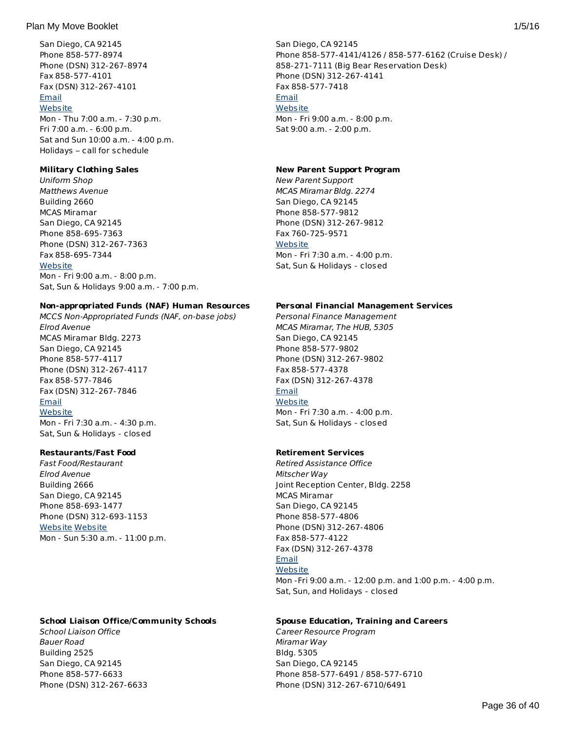San Diego, CA 92145 Phone 858-577-8974 Phone (DSN) 312-267-8974 Fax 858-577-4101 Fax (DSN) 312-267-4101 [Email](http://apps.militaryonesource.mil/MOS/f?p=AMS:5:0::::P5_APP_NAME,P5_MSG_TYPE,P5_EID:Plan My Move,MCCS Library,117977) **[Website](http://www.mccsmiramar.com)** Mon - Thu 7:00 a.m. - 7:30 p.m. Fri 7:00 a.m. - 6:00 p.m. Sat and Sun 10:00 a.m. - 4:00 p.m. Holidays – call for schedule

## **Military Clothing Sales**

Uniform Shop Matthews Avenue Building 2660 MCAS Miramar San Diego, CA 92145 Phone 858-695-7363 Phone (DSN) 312-267-7363 Fax 858-695-7344 **[Website](http://www.mccsmiramar.com)** Mon - Fri 9:00 a.m. - 8:00 p.m. Sat, Sun & Holidays 9:00 a.m. - 7:00 p.m.

## **Non-appropriated Funds (NAF) Human Resources**

MCCS Non-Appropriated Funds (NAF, on-base jobs) Elrod Avenue MCAS Miramar Bldg. 2273 San Diego, CA 92145 Phone 858-577-4117 Phone (DSN) 312-267-4117 Fax 858-577-7846 Fax (DSN) 312-267-7846 [Email](http://apps.militaryonesource.mil/MOS/f?p=AMS:5:0::::P5_APP_NAME,P5_MSG_TYPE,P5_EID:Plan My Move,MCCS Non-Appropriated Funds (NAF  on-base jobs),179187) **[Website](http://www.mccsmiramar.com)** Mon - Fri 7:30 a.m. - 4:30 p.m.

Sat, Sun & Holidays - closed

## **Restaurants/Fast Food**

Fast Food/Restaurant Elrod Avenue Building 2666 San Diego, CA 92145 Phone 858-693-1477 Phone (DSN) 312-693-1153 [Website](#page-19-0) [Website](http://www.miramar.com) Mon - Sun 5:30 a.m. - 11:00 p.m.

## **School Liaison Office/Community Schools**

School Liaison Office Bauer Road Building 2525 San Diego, CA 92145 Phone 858-577-6633 Phone (DSN) 312-267-6633 San Diego, CA 92145 Phone 858-577-4141/4126 / 858-577-6162 (Cruise Desk) / 858-271-7111 (Big Bear Reservation Desk) Phone (DSN) 312-267-4141 Fax 858-577-7418 [Email](http://apps.militaryonesource.mil/MOS/f?p=AMS:5:0::::P5_APP_NAME,P5_MSG_TYPE,P5_EID:Plan My Move,Entertainment and Ticket Office,118169) **[Website](http://www.mccsmiramar.com/itt.html)** Mon - Fri 9:00 a.m. - 8:00 p.m. Sat 9:00 a.m. - 2:00 p.m.

#### **New Parent Support Program**

New Parent Support MCAS Miramar Bldg. 2274 San Diego, CA 92145 Phone 858-577-9812 Phone (DSN) 312-267-9812 Fax 760-725-9571 **[Website](http://www.mccsmiramar.com/new_parent_support_program.html)** Mon - Fri 7:30 a.m. - 4:00 p.m. Sat, Sun & Holidays - closed

## **Personal Financial Management Services**

Personal Finance Management MCAS Miramar, The HUB, 5305 San Diego, CA 92145 Phone 858-577-9802 Phone (DSN) 312-267-9802 Fax 858-577-4378 Fax (DSN) 312-267-4378 [Email](http://apps.militaryonesource.mil/MOS/f?p=AMS:5:0::::P5_APP_NAME,P5_MSG_TYPE,P5_EID:Plan My Move,Personal Finance Management,118142) **[Website](http://mccsmiramar.com/personal_financial_management.html)** Mon - Fri 7:30 a.m. - 4:00 p.m. Sat, Sun & Holidays - closed

## **Retirement Services**

Retired Assistance Office Mitscher Way Joint Reception Center, Bldg. 2258 MCAS Miramar San Diego, CA 92145 Phone 858-577-4806 Phone (DSN) 312-267-4806 Fax 858-577-4122 Fax (DSN) 312-267-4378 [Email](http://apps.militaryonesource.mil/MOS/f?p=AMS:5:0::::P5_APP_NAME,P5_MSG_TYPE,P5_EID:Plan My Move,Retired Assistance Office,118157) **[Website](http://mccsmiramar.com/retired_assistance_program.html)** Mon -Fri 9:00 a.m. - 12:00 p.m. and 1:00 p.m. - 4:00 p.m. Sat, Sun, and Holidays - closed

## **Spouse Education, Training and Careers**

Career Resource Program Miramar Way Bldg. 5305 San Diego, CA 92145 Phone 858-577-6491 / 858-577-6710 Phone (DSN) 312-267-6710/6491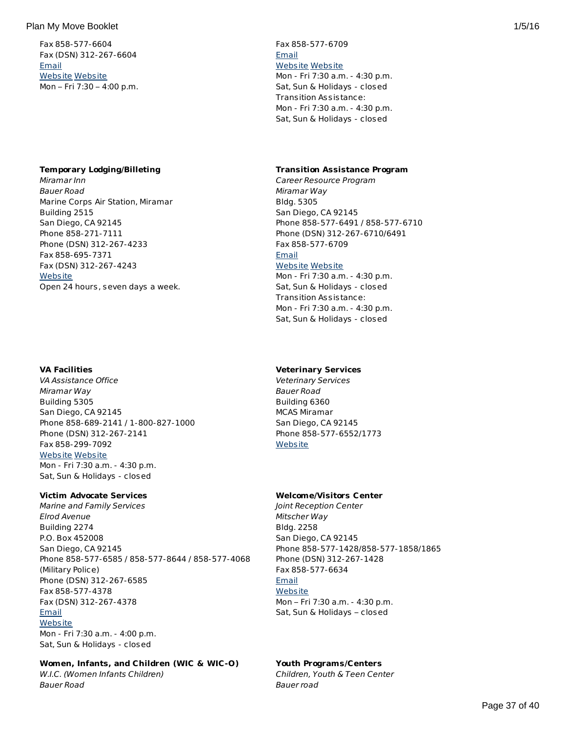Fax 858-577-6604 Fax (DSN) 312-267-6604 [Email](http://apps.militaryonesource.mil/MOS/f?p=AMS:5:0::::P5_APP_NAME,P5_MSG_TYPE,P5_EID:Plan My Move,School Liaison Office,1000001918) [Website](http://www.mccsmiramar.com) [Website](http://www.dodea.edu/Partnership/schoolLiaisonOfficers.cfm) Mon – Fri 7:30 – 4:00 p.m.

#### **Temporary Lodging/Billeting**

Miramar Inn Bauer Road Marine Corps Air Station, Miramar Building 2515 San Diego, CA 92145 Phone 858-271-7111 Phone (DSN) 312-267-4233 Fax 858-695-7371 Fax (DSN) 312-267-4243 **[Website](http://www.miramar.usmc.mil/billeting.asp)** Open 24 hours, seven days a week.

## **VA Facilities**

VA Assistance Office Miramar Way Building 5305 San Diego, CA 92145 Phone 858-689-2141 / 1-800-827-1000 Phone (DSN) 312-267-2141 Fax 858-299-7092 [Website](http://vabenefits.vba.va.gov) [Website](http://www.va.gov) Mon - Fri 7:30 a.m. - 4:30 p.m. Sat, Sun & Holidays - closed

## **Victim Advocate Services**

Marine and Family Services Elrod Avenue Building 2274 P.O. Box 452008 San Diego, CA 92145 Phone 858-577-6585 / 858-577-8644 / 858-577-4068 (Military Police) Phone (DSN) 312-267-6585 Fax 858-577-4378 Fax (DSN) 312-267-4378 [Email](http://apps.militaryonesource.mil/MOS/f?p=AMS:5:0::::P5_APP_NAME,P5_MSG_TYPE,P5_EID:Plan My Move,Marine and Family Services,179497) **[Website](#page-19-0)** Mon - Fri 7:30 a.m. - 4:00 p.m. Sat, Sun & Holidays - closed

## **Women, Infants, and Children (WIC & WIC-O)**

W.I.C. (Women Infants Children) Bauer Road

## Fax 858-577-6709 [Email](http://apps.militaryonesource.mil/MOS/f?p=AMS:5:0::::P5_APP_NAME,P5_MSG_TYPE,P5_EID:Plan My Move,Career Resource Program,179180) [Website](http://www.turbotap.org) [Website](#page-19-0) Mon - Fri 7:30 a.m. - 4:30 p.m. Sat, Sun & Holidays - closed Transition Assistance:

Mon - Fri 7:30 a.m. - 4:30 p.m. Sat, Sun & Holidays - closed

## **Transition Assistance Program**

Career Resource Program Miramar Way Bldg. 5305 San Diego, CA 92145 Phone 858-577-6491 / 858-577-6710 Phone (DSN) 312-267-6710/6491 Fax 858-577-6709 **[Email](http://apps.militaryonesource.mil/MOS/f?p=AMS:5:0::::P5_APP_NAME,P5_MSG_TYPE,P5_EID:Plan My Move,Career Resource Program,179180)** 

## [Website](http://www.turbotap.org) [Website](#page-19-0)

Mon - Fri 7:30 a.m. - 4:30 p.m. Sat, Sun & Holidays - closed Transition Assistance: Mon - Fri 7:30 a.m. - 4:30 p.m. Sat, Sun & Holidays - closed

## **Veterinary Services**

Veterinary Services Bauer Road Building 6360 MCAS Miramar San Diego, CA 92145 Phone 858-577-6552/1773 **[Website](http://www.mccsmiramar.com/vet_clinic.html)** 

## **Welcome/Visitors Center**

Joint Reception Center Mitscher Way Bldg. 2258 San Diego, CA 92145 Phone 858-577-1428/858-577-1858/1865 Phone (DSN) 312-267-1428 Fax 858-577-6634 [Email](http://apps.militaryonesource.mil/MOS/f?p=AMS:5:0::::P5_APP_NAME,P5_MSG_TYPE,P5_EID:Plan My Move,Joint Reception Center,117838) **[Website](http://www.miramar.com)** Mon – Fri 7:30 a.m. - 4:30 p.m. Sat, Sun & Holidays – closed

## **Youth Programs/Centers**

Children, Youth & Teen Center Bauer road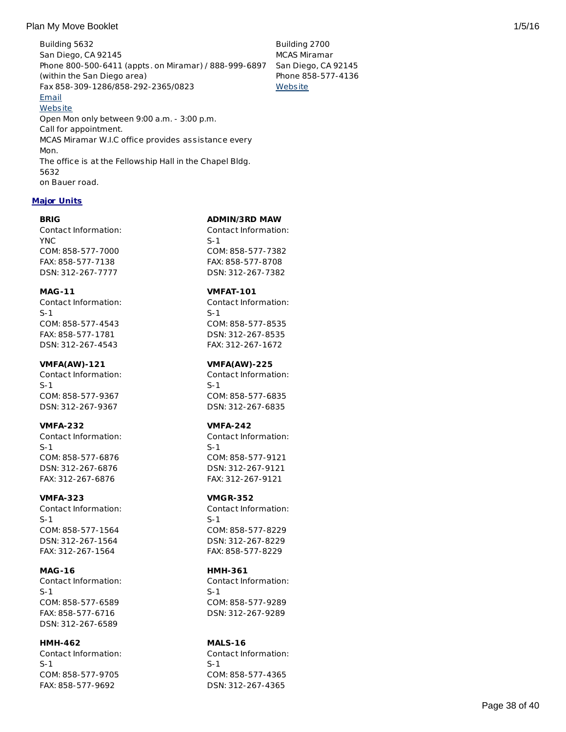## Plan My Move Booklet 2008 1/5/16 and 2008 1/5/16 and 2008 1/5/16 and 2008 1/5/16 and 2008 1/5/16 and 2008 1/5/16

Building 5632 San Diego, CA 92145 Phone 800-500-6411 (appts. on Miramar) / 888-999-6897 (within the San Diego area) Fax 858-309-1286/858-292-2365/0823 [Email](http://apps.militaryonesource.mil/MOS/f?p=AMS:5:0::::P5_APP_NAME,P5_MSG_TYPE,P5_EID:Plan My Move,W.I.C. (Women Infants Children),176763) **[Website](#page-19-0)** Open Mon only between 9:00 a.m. - 3:00 p.m. Call for appointment. MCAS Miramar W.I.C office provides assistance every Mon. The office is at the Fellowship Hall in the Chapel Bldg. 5632 on Bauer road. Building 2700 MCAS Miramar San Diego, CA 92145 Phone 858-577-4136 **[Website](http://www.mccsmiramar.com/children-youth-teen-center.html)** 

## **Major Units**

## **BRIG**

Contact Information: YNC COM: 858-577-7000 FAX: 858-577-7138 DSN: 312-267-7777

## **MAG-11**

Contact Information: S-1 COM: 858-577-4543 FAX: 858-577-1781 DSN: 312-267-4543

## **VMFA(AW)-121**

Contact Information: S-1 COM: 858-577-9367 DSN: 312-267-9367

## **VMFA-232**

Contact Information: S-1 COM: 858-577-6876 DSN: 312-267-6876 FAX: 312-267-6876

## **VMFA-323**

Contact Information: S-1 COM: 858-577-1564 DSN: 312-267-1564 FAX: 312-267-1564

## **MAG-16**

Contact Information: S-1 COM: 858-577-6589 FAX: 858-577-6716 DSN: 312-267-6589

#### **HMH-462** Contact Information:

S-1 COM: 858-577-9705 FAX: 858-577-9692

## **ADMIN/3RD MAW**

Contact Information: S-1 COM: 858-577-7382 FAX: 858-577-8708 DSN: 312-267-7382

## **VMFAT-101**

Contact Information: S-1 COM: 858-577-8535 DSN: 312-267-8535 FAX: 312-267-1672

## **VMFA(AW)-225**

Contact Information: S-1 COM: 858-577-6835 DSN: 312-267-6835

## **VMFA-242**

Contact Information: S-1 COM: 858-577-9121 DSN: 312-267-9121 FAX: 312-267-9121

## **VMGR-352**

Contact Information: S-1 COM: 858-577-8229 DSN: 312-267-8229 FAX: 858-577-8229

## **HMH-361**

Contact Information: S-1 COM: 858-577-9289 DSN: 312-267-9289

# **MALS-16**

Contact Information: S-1 COM: 858-577-4365 DSN: 312-267-4365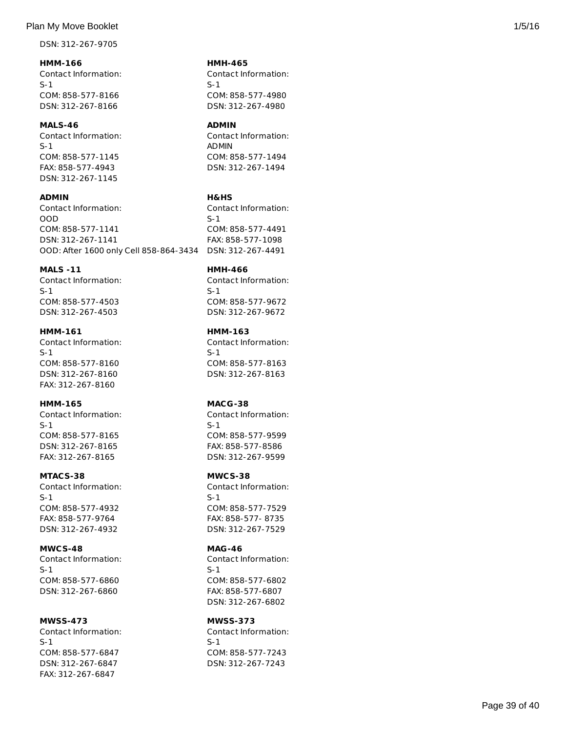## Plan My Move Booklet 2008 1/5/16 and 2008 1/5/16 and 2008 1/5/16 and 2008 1/5/16 and 2008 1/5/16 and 2008 1/5/16

DSN: 312-267-9705

**HMM-166** Contact Information: S-1 COM: 858-577-8166 DSN: 312-267-8166

**MALS-46** Contact Information: S-1 COM: 858-577-1145 FAX: 858-577-4943 DSN: 312-267-1145

**ADMIN** Contact Information: OOD COM: 858-577-1141 DSN: 312-267-1141 OOD: After 1600 only Cell 858-864-3434 DSN: 312-267-4491 S-1

## **MALS -11**

Contact Information: S-1 COM: 858-577-4503 DSN: 312-267-4503

## **HMM-161**

Contact Information: S-1 COM: 858-577-8160 DSN: 312-267-8160 FAX: 312-267-8160

## **HMM-165**

Contact Information: S-1 COM: 858-577-8165 DSN: 312-267-8165 FAX: 312-267-8165

#### **MTACS-38**

Contact Information: S-1 COM: 858-577-4932 FAX: 858-577-9764 DSN: 312-267-4932

#### **MWCS-48**

Contact Information: S-1 COM: 858-577-6860 DSN: 312-267-6860

## **MWSS-473**

Contact Information: S-1 COM: 858-577-6847 DSN: 312-267-6847 FAX: 312-267-6847

#### **HMH-465**

Contact Information: S-1 COM: 858-577-4980 DSN: 312-267-4980

#### **ADMIN**

Contact Information: ADMIN COM: 858-577-1494 DSN: 312-267-1494

#### **H&HS**

Contact Information: COM: 858-577-4491 FAX: 858-577-1098

## **HMH-466**

Contact Information: S-1 COM: 858-577-9672 DSN: 312-267-9672

## **HMM-163**

Contact Information: S-1 COM: 858-577-8163 DSN: 312-267-8163

## **MACG-38**

Contact Information: S-1 COM: 858-577-9599 FAX: 858-577-8586 DSN: 312-267-9599

## **MWCS-38**

Contact Information: S-1 COM: 858-577-7529 FAX: 858-577- 8735 DSN: 312-267-7529

## **MAG-46**

Contact Information: S-1 COM: 858-577-6802 FAX: 858-577-6807 DSN: 312-267-6802

## **MWSS-373**

Contact Information: S-1 COM: 858-577-7243 DSN: 312-267-7243